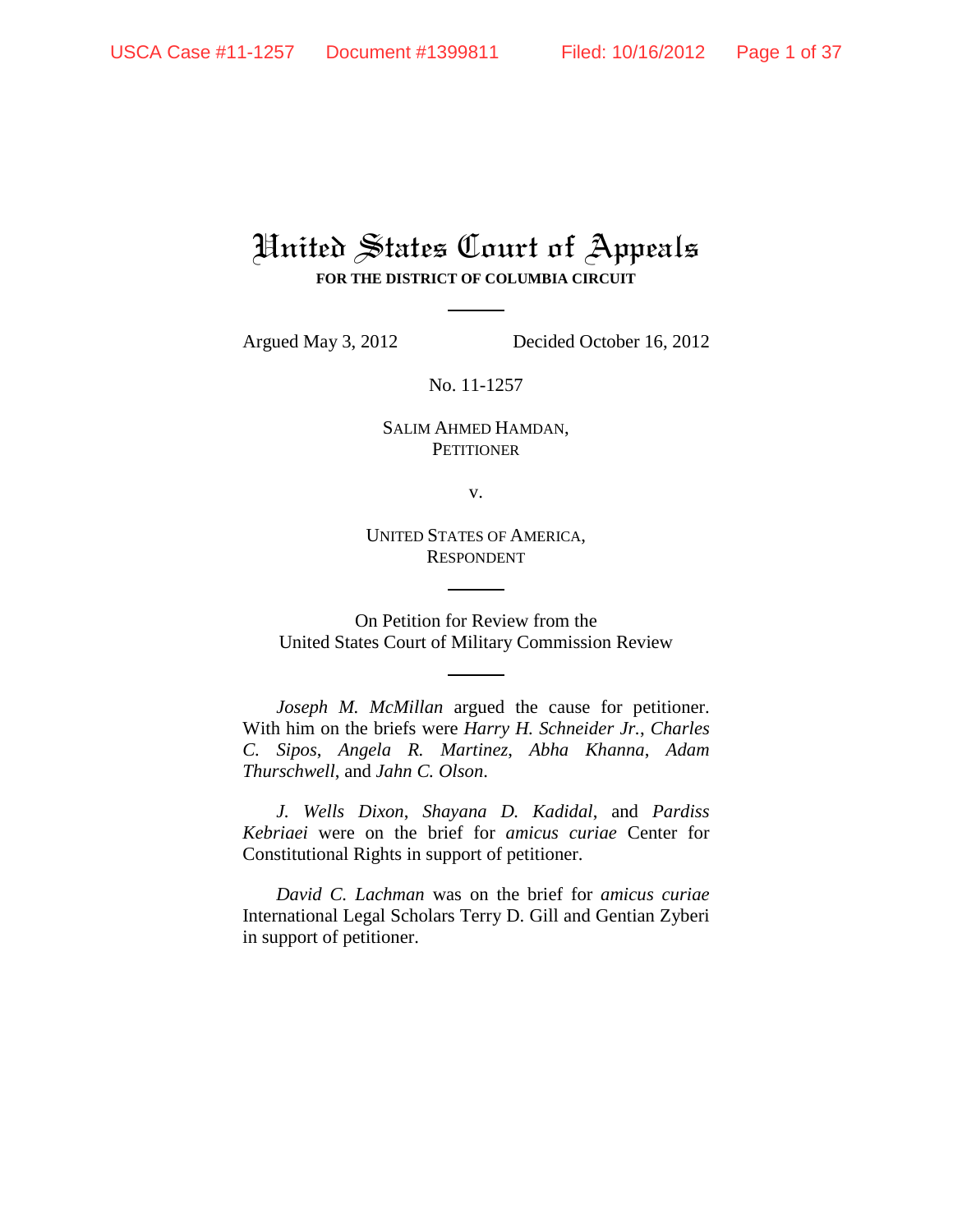# United States Court of Appeals **FOR THE DISTRICT OF COLUMBIA CIRCUIT**

Argued May 3, 2012 Decided October 16, 2012

No. 11-1257

SALIM AHMED HAMDAN, **PETITIONER** 

v.

UNITED STATES OF AMERICA, RESPONDENT

On Petition for Review from the United States Court of Military Commission Review

*Joseph M. McMillan* argued the cause for petitioner. With him on the briefs were *Harry H. Schneider Jr.*, *Charles C. Sipos*, *Angela R. Martinez*, *Abha Khanna*, *Adam Thurschwell*, and *Jahn C. Olson*.

*J. Wells Dixon*, *Shayana D. Kadidal*, and *Pardiss Kebriaei* were on the brief for *amicus curiae* Center for Constitutional Rights in support of petitioner.

*David C. Lachman* was on the brief for *amicus curiae*  International Legal Scholars Terry D. Gill and Gentian Zyberi in support of petitioner.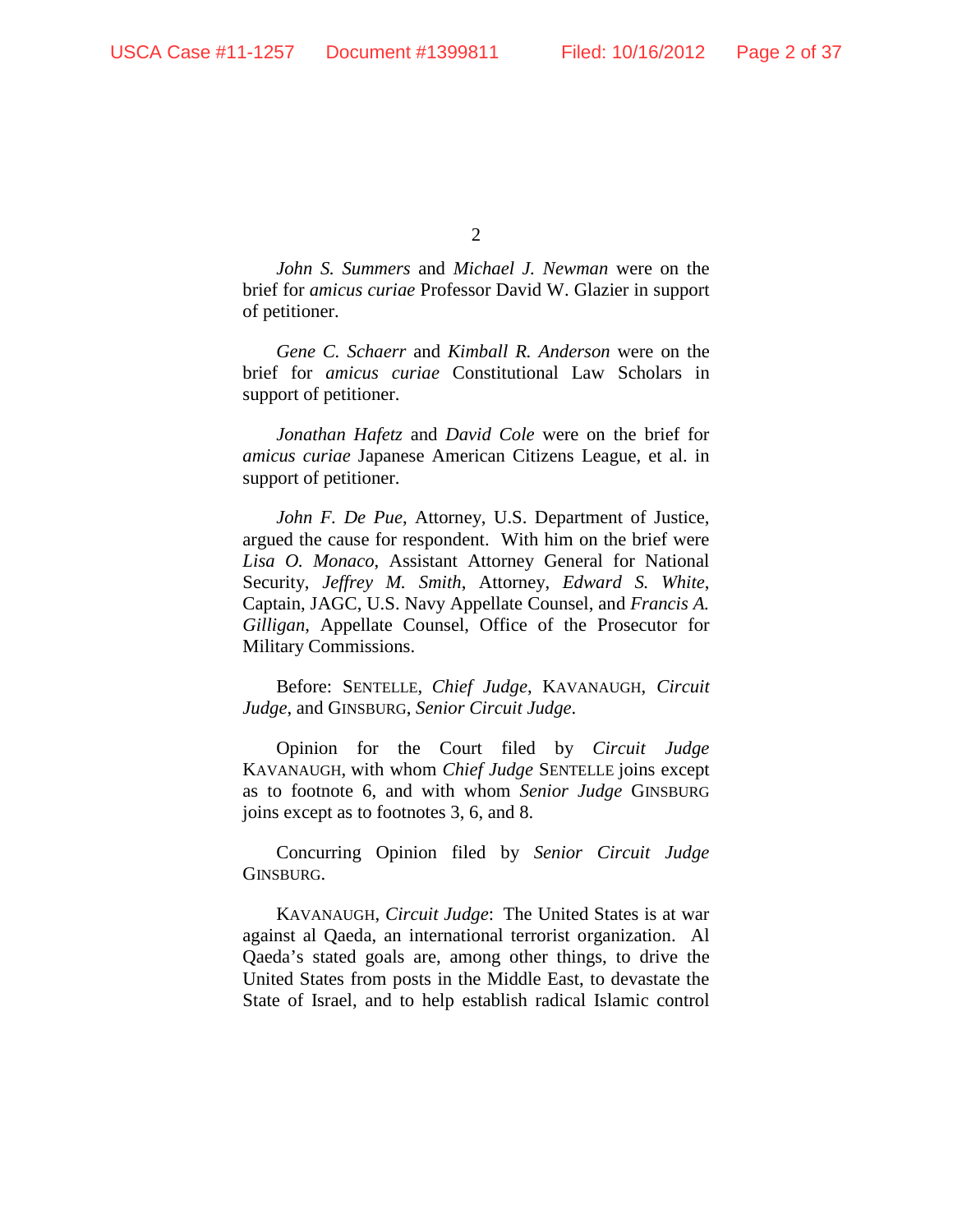$\mathcal{L}$ 

*John S. Summers* and *Michael J. Newman* were on the brief for *amicus curiae* Professor David W. Glazier in support of petitioner.

*Gene C. Schaerr* and *Kimball R. Anderson* were on the brief for *amicus curiae* Constitutional Law Scholars in support of petitioner.

*Jonathan Hafetz* and *David Cole* were on the brief for *amicus curiae* Japanese American Citizens League, et al. in support of petitioner.

*John F. De Pue*, Attorney, U.S. Department of Justice, argued the cause for respondent. With him on the brief were *Lisa O. Monaco*, Assistant Attorney General for National Security, *Jeffrey M. Smith*, Attorney, *Edward S. White*, Captain, JAGC, U.S. Navy Appellate Counsel, and *Francis A. Gilligan*, Appellate Counsel, Office of the Prosecutor for Military Commissions.

Before: SENTELLE, *Chief Judge*, KAVANAUGH, *Circuit Judge*, and GINSBURG, *Senior Circuit Judge*.

Opinion for the Court filed by *Circuit Judge* KAVANAUGH, with whom *Chief Judge* SENTELLE joins except as to footnote 6, and with whom *Senior Judge* GINSBURG joins except as to footnotes 3, 6, and 8.

Concurring Opinion filed by *Senior Circuit Judge* GINSBURG.

KAVANAUGH, *Circuit Judge*: The United States is at war against al Qaeda, an international terrorist organization. Al Qaeda's stated goals are, among other things, to drive the United States from posts in the Middle East, to devastate the State of Israel, and to help establish radical Islamic control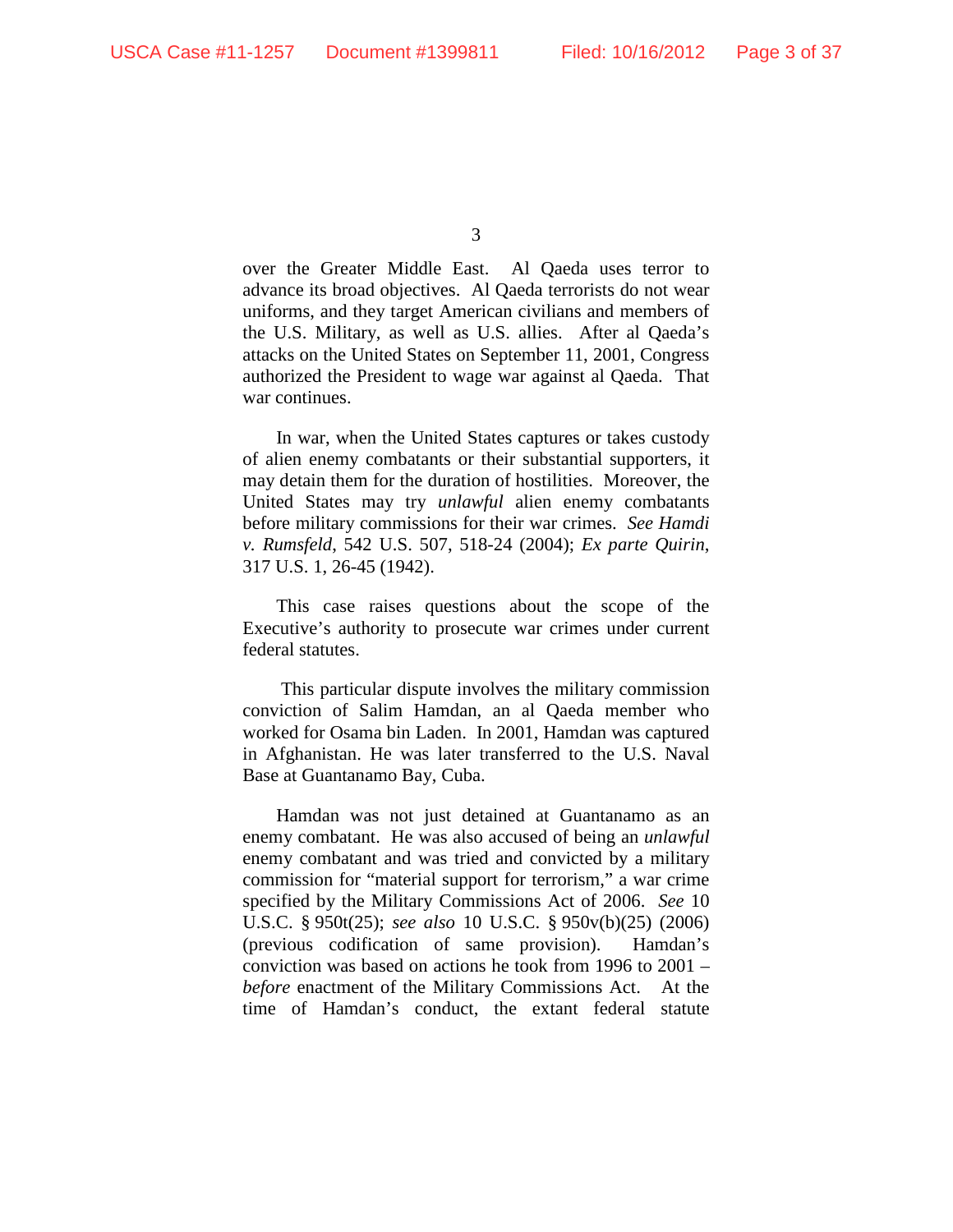over the Greater Middle East. Al Qaeda uses terror to advance its broad objectives. Al Qaeda terrorists do not wear uniforms, and they target American civilians and members of the U.S. Military, as well as U.S. allies. After al Qaeda's attacks on the United States on September 11, 2001, Congress authorized the President to wage war against al Qaeda. That war continues.

In war, when the United States captures or takes custody of alien enemy combatants or their substantial supporters, it may detain them for the duration of hostilities. Moreover, the United States may try *unlawful* alien enemy combatants before military commissions for their war crimes. *See Hamdi v. Rumsfeld*, 542 U.S. 507, 518-24 (2004); *Ex parte Quirin*, 317 U.S. 1, 26-45 (1942).

This case raises questions about the scope of the Executive's authority to prosecute war crimes under current federal statutes.

This particular dispute involves the military commission conviction of Salim Hamdan, an al Qaeda member who worked for Osama bin Laden. In 2001, Hamdan was captured in Afghanistan. He was later transferred to the U.S. Naval Base at Guantanamo Bay, Cuba.

Hamdan was not just detained at Guantanamo as an enemy combatant. He was also accused of being an *unlawful* enemy combatant and was tried and convicted by a military commission for "material support for terrorism," a war crime specified by the Military Commissions Act of 2006. *See* 10 U.S.C. § 950t(25); *see also* 10 U.S.C. § 950v(b)(25) (2006) (previous codification of same provision). Hamdan's conviction was based on actions he took from 1996 to 2001 – *before* enactment of the Military Commissions Act. At the time of Hamdan's conduct, the extant federal statute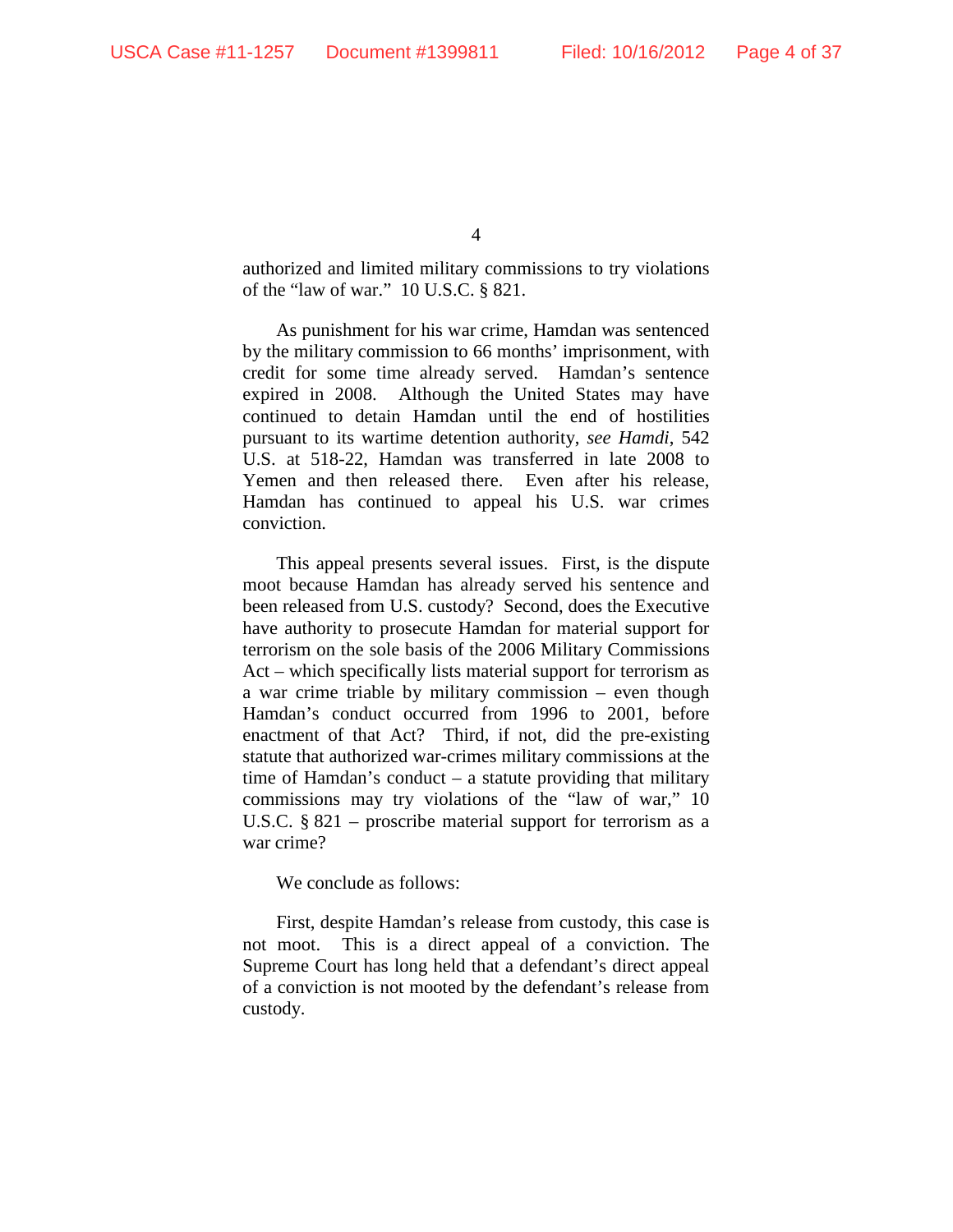authorized and limited military commissions to try violations of the "law of war." 10 U.S.C. § 821.

As punishment for his war crime, Hamdan was sentenced by the military commission to 66 months' imprisonment, with credit for some time already served. Hamdan's sentence expired in 2008. Although the United States may have continued to detain Hamdan until the end of hostilities pursuant to its wartime detention authority, *see Hamdi*, 542 U.S. at 518-22, Hamdan was transferred in late 2008 to Yemen and then released there. Even after his release, Hamdan has continued to appeal his U.S. war crimes conviction.

This appeal presents several issues. First, is the dispute moot because Hamdan has already served his sentence and been released from U.S. custody? Second, does the Executive have authority to prosecute Hamdan for material support for terrorism on the sole basis of the 2006 Military Commissions Act – which specifically lists material support for terrorism as a war crime triable by military commission – even though Hamdan's conduct occurred from 1996 to 2001, before enactment of that Act? Third, if not, did the pre-existing statute that authorized war-crimes military commissions at the time of Hamdan's conduct – a statute providing that military commissions may try violations of the "law of war," 10 U.S.C. § 821 – proscribe material support for terrorism as a war crime?

We conclude as follows:

First, despite Hamdan's release from custody, this case is not moot. This is a direct appeal of a conviction. The Supreme Court has long held that a defendant's direct appeal of a conviction is not mooted by the defendant's release from custody.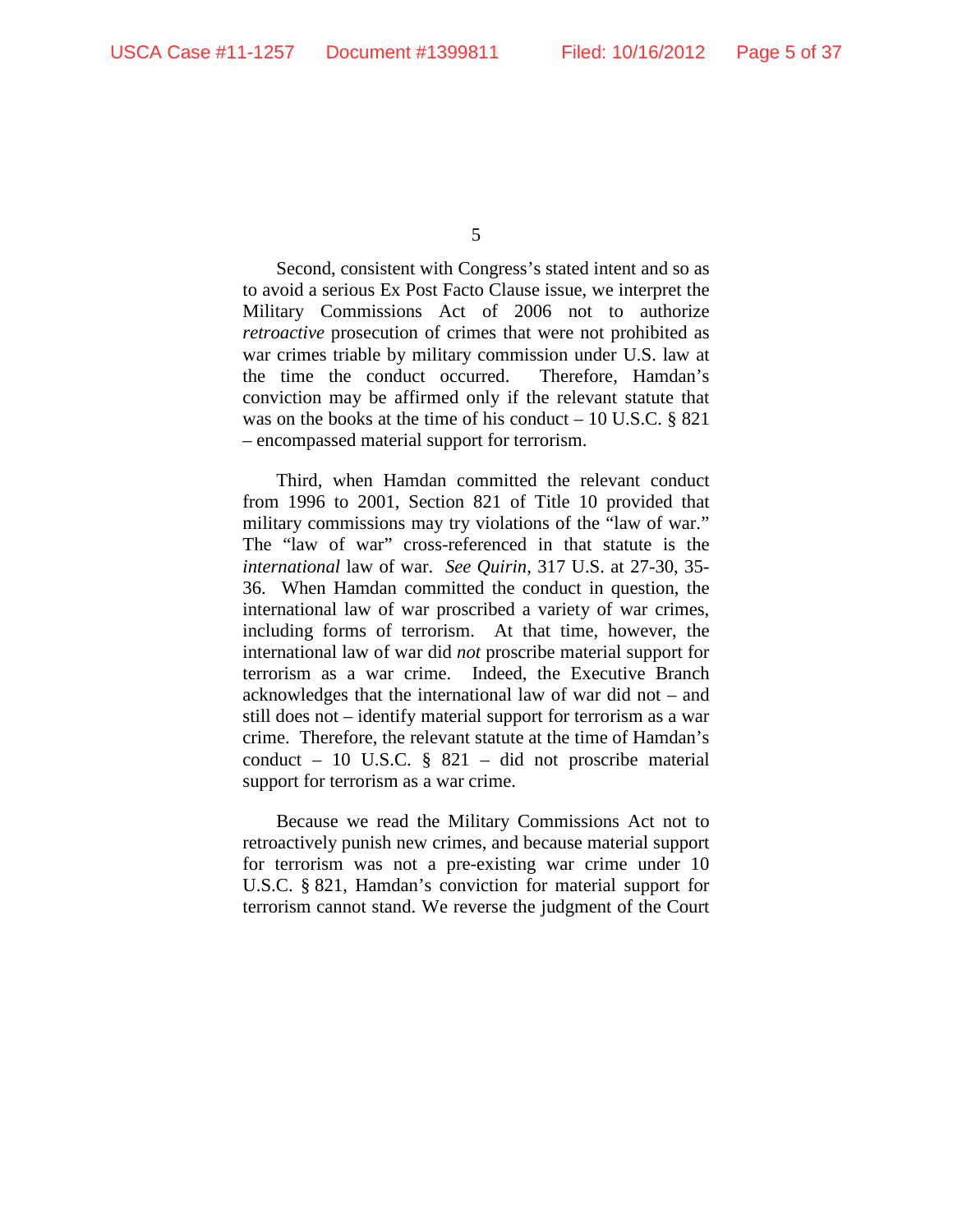Second, consistent with Congress's stated intent and so as to avoid a serious Ex Post Facto Clause issue, we interpret the Military Commissions Act of 2006 not to authorize *retroactive* prosecution of crimes that were not prohibited as war crimes triable by military commission under U.S. law at the time the conduct occurred. Therefore, Hamdan's conviction may be affirmed only if the relevant statute that was on the books at the time of his conduct – 10 U.S.C. § 821 – encompassed material support for terrorism.

Third, when Hamdan committed the relevant conduct from 1996 to 2001, Section 821 of Title 10 provided that military commissions may try violations of the "law of war." The "law of war" cross-referenced in that statute is the *international* law of war. *See Quirin*, 317 U.S. at 27-30, 35- 36. When Hamdan committed the conduct in question, the international law of war proscribed a variety of war crimes, including forms of terrorism. At that time, however, the international law of war did *not* proscribe material support for terrorism as a war crime. Indeed, the Executive Branch acknowledges that the international law of war did not – and still does not – identify material support for terrorism as a war crime. Therefore, the relevant statute at the time of Hamdan's conduct – 10 U.S.C. § 821 – did not proscribe material support for terrorism as a war crime.

Because we read the Military Commissions Act not to retroactively punish new crimes, and because material support for terrorism was not a pre-existing war crime under 10 U.S.C. § 821, Hamdan's conviction for material support for terrorism cannot stand. We reverse the judgment of the Court

<sup>5</sup>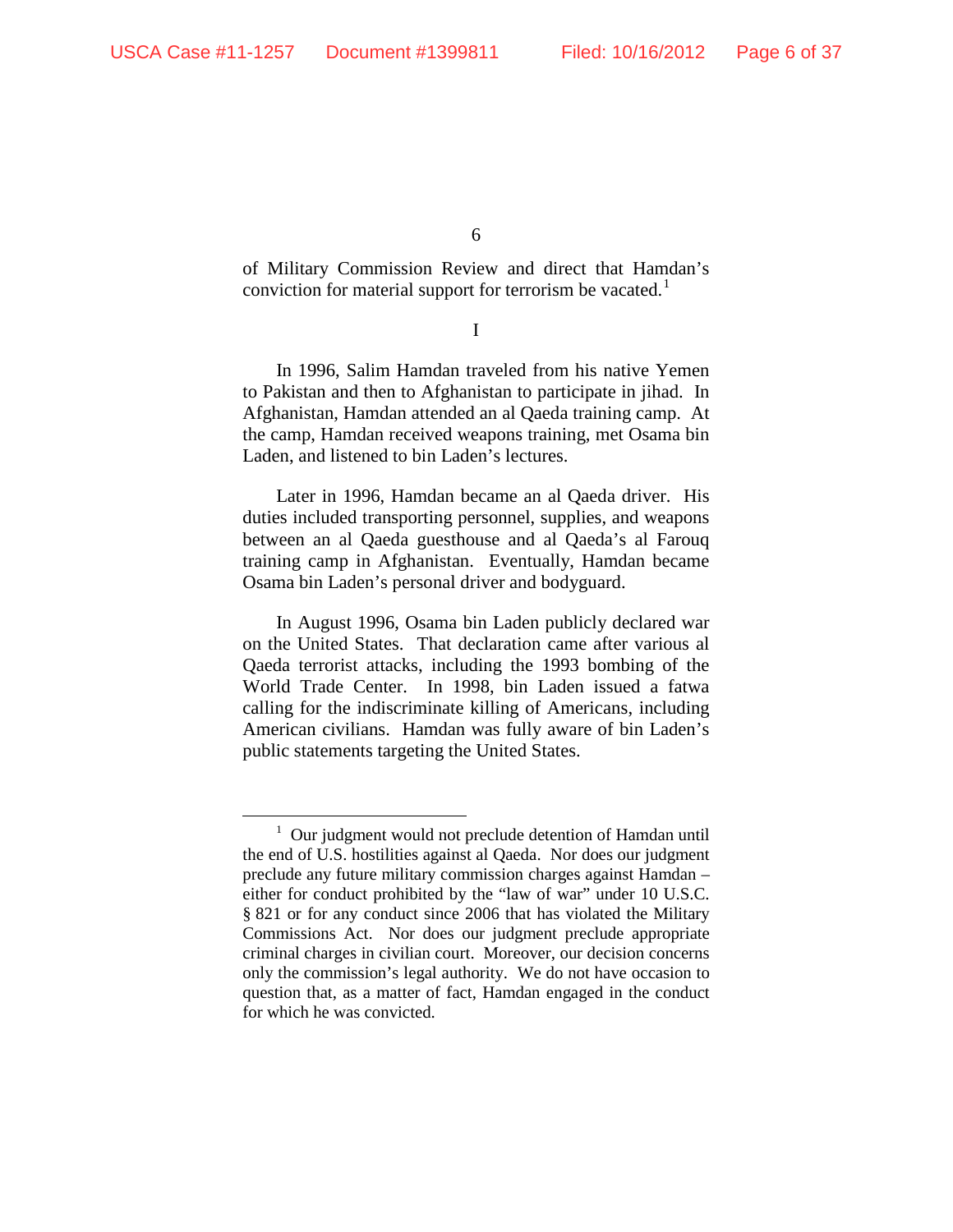of Military Commission Review and direct that Hamdan's conviction for material support for terrorism be vacated.<sup>[1](#page-5-0)</sup>

I

In 1996, Salim Hamdan traveled from his native Yemen to Pakistan and then to Afghanistan to participate in jihad. In Afghanistan, Hamdan attended an al Qaeda training camp. At the camp, Hamdan received weapons training, met Osama bin Laden, and listened to bin Laden's lectures.

Later in 1996, Hamdan became an al Qaeda driver. His duties included transporting personnel, supplies, and weapons between an al Qaeda guesthouse and al Qaeda's al Farouq training camp in Afghanistan. Eventually, Hamdan became Osama bin Laden's personal driver and bodyguard.

In August 1996, Osama bin Laden publicly declared war on the United States. That declaration came after various al Qaeda terrorist attacks, including the 1993 bombing of the World Trade Center. In 1998, bin Laden issued a fatwa calling for the indiscriminate killing of Americans, including American civilians. Hamdan was fully aware of bin Laden's public statements targeting the United States.

<span id="page-5-0"></span> <sup>1</sup>  $1$  Our judgment would not preclude detention of Hamdan until the end of U.S. hostilities against al Qaeda. Nor does our judgment preclude any future military commission charges against Hamdan – either for conduct prohibited by the "law of war" under 10 U.S.C. § 821 or for any conduct since 2006 that has violated the Military Commissions Act. Nor does our judgment preclude appropriate criminal charges in civilian court. Moreover, our decision concerns only the commission's legal authority. We do not have occasion to question that, as a matter of fact, Hamdan engaged in the conduct for which he was convicted.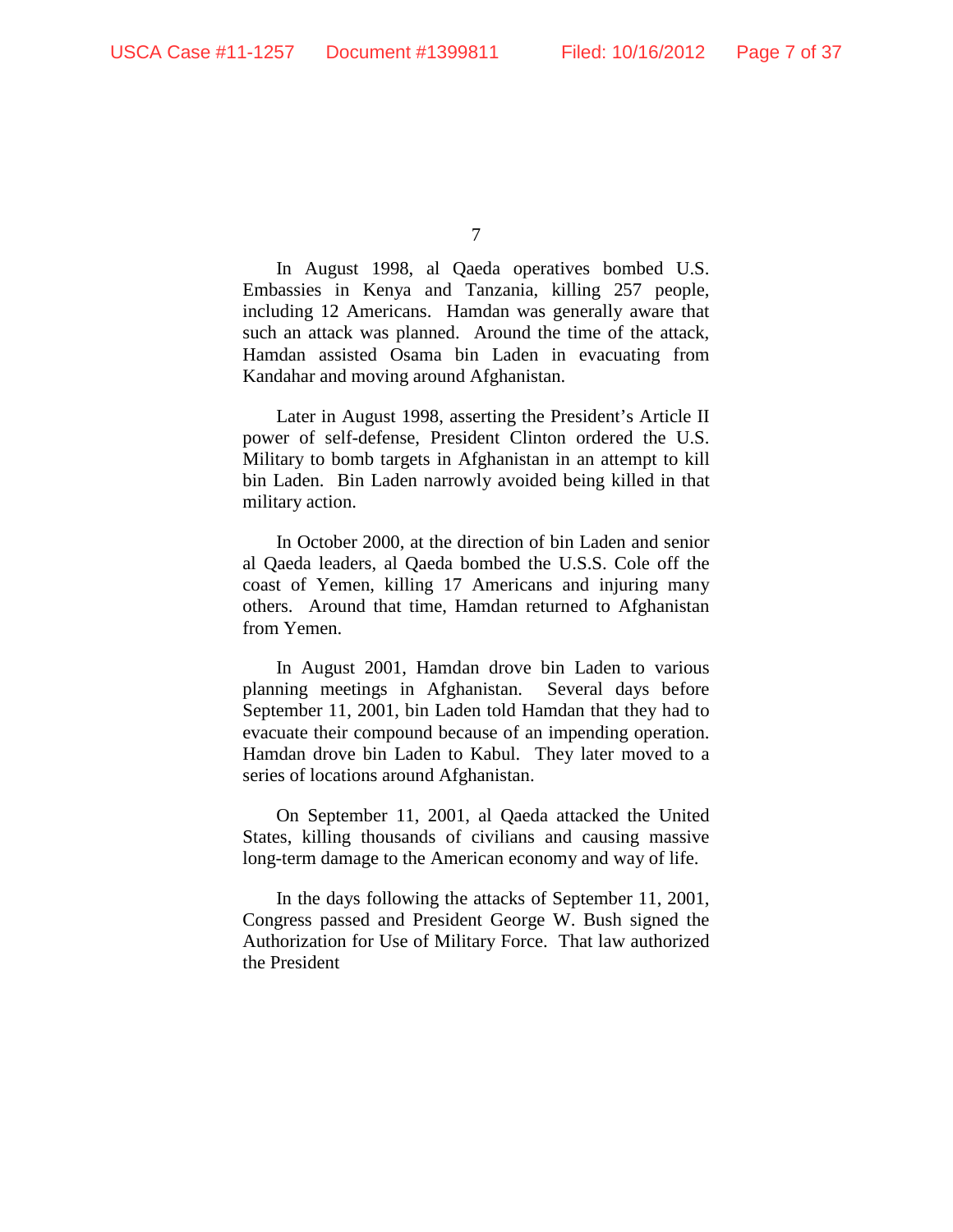In August 1998, al Qaeda operatives bombed U.S. Embassies in Kenya and Tanzania, killing 257 people, including 12 Americans. Hamdan was generally aware that such an attack was planned. Around the time of the attack, Hamdan assisted Osama bin Laden in evacuating from Kandahar and moving around Afghanistan.

Later in August 1998, asserting the President's Article II power of self-defense, President Clinton ordered the U.S. Military to bomb targets in Afghanistan in an attempt to kill bin Laden. Bin Laden narrowly avoided being killed in that military action.

In October 2000, at the direction of bin Laden and senior al Qaeda leaders, al Qaeda bombed the U.S.S. Cole off the coast of Yemen, killing 17 Americans and injuring many others. Around that time, Hamdan returned to Afghanistan from Yemen.

In August 2001, Hamdan drove bin Laden to various planning meetings in Afghanistan. Several days before September 11, 2001, bin Laden told Hamdan that they had to evacuate their compound because of an impending operation. Hamdan drove bin Laden to Kabul. They later moved to a series of locations around Afghanistan.

On September 11, 2001, al Qaeda attacked the United States, killing thousands of civilians and causing massive long-term damage to the American economy and way of life.

In the days following the attacks of September 11, 2001, Congress passed and President George W. Bush signed the Authorization for Use of Military Force. That law authorized the President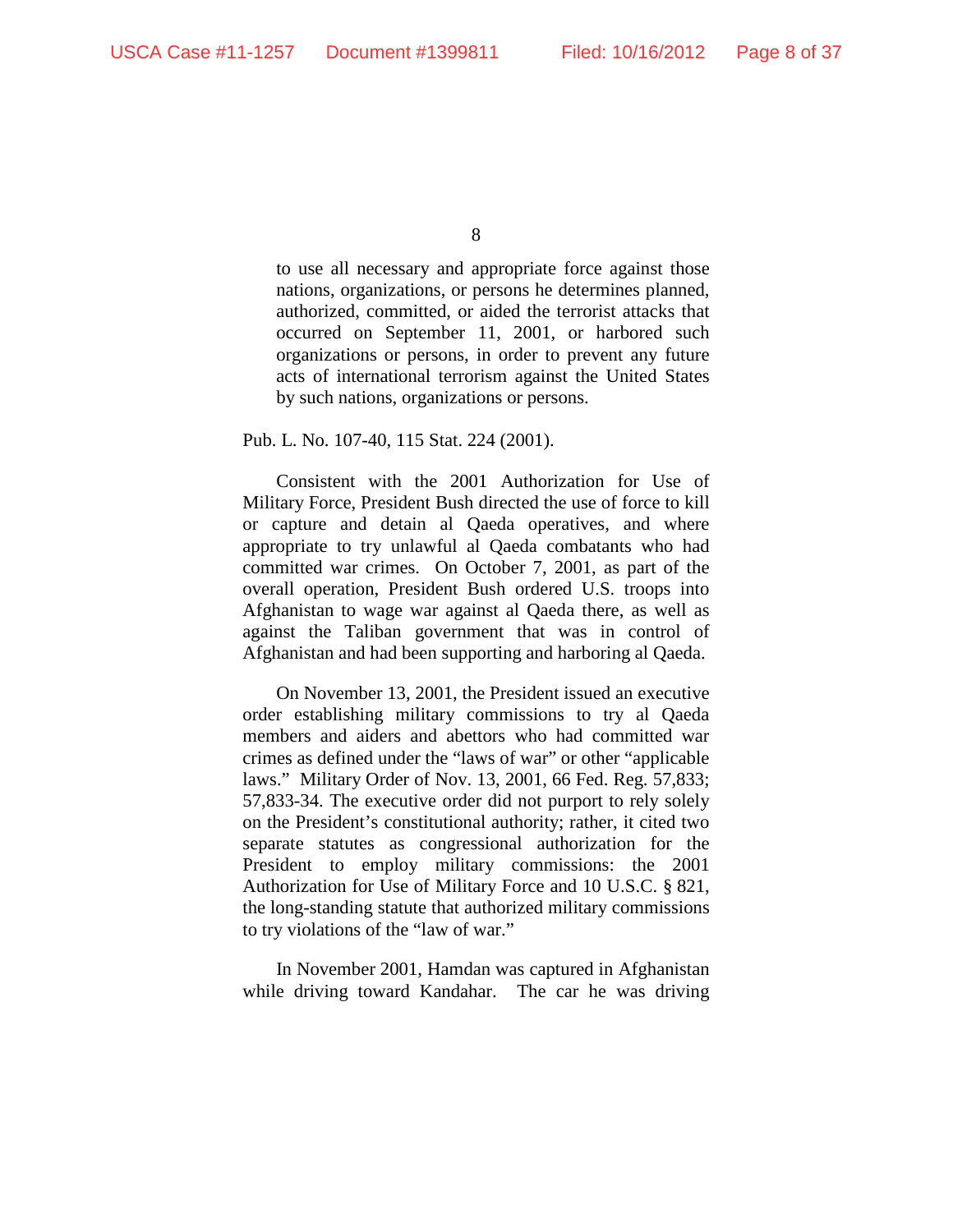to use all necessary and appropriate force against those nations, organizations, or persons he determines planned, authorized, committed, or aided the terrorist attacks that occurred on September 11, 2001, or harbored such organizations or persons, in order to prevent any future acts of international terrorism against the United States by such nations, organizations or persons.

Pub. L. No. 107-40, 115 Stat. 224 (2001).

Consistent with the 2001 Authorization for Use of Military Force, President Bush directed the use of force to kill or capture and detain al Qaeda operatives, and where appropriate to try unlawful al Qaeda combatants who had committed war crimes. On October 7, 2001, as part of the overall operation, President Bush ordered U.S. troops into Afghanistan to wage war against al Qaeda there, as well as against the Taliban government that was in control of Afghanistan and had been supporting and harboring al Qaeda.

On November 13, 2001, the President issued an executive order establishing military commissions to try al Qaeda members and aiders and abettors who had committed war crimes as defined under the "laws of war" or other "applicable laws." Military Order of Nov. 13, 2001, 66 Fed. Reg. 57,833; 57,833-34. The executive order did not purport to rely solely on the President's constitutional authority; rather, it cited two separate statutes as congressional authorization for the President to employ military commissions: the 2001 Authorization for Use of Military Force and 10 U.S.C. § 821, the long-standing statute that authorized military commissions to try violations of the "law of war."

In November 2001, Hamdan was captured in Afghanistan while driving toward Kandahar. The car he was driving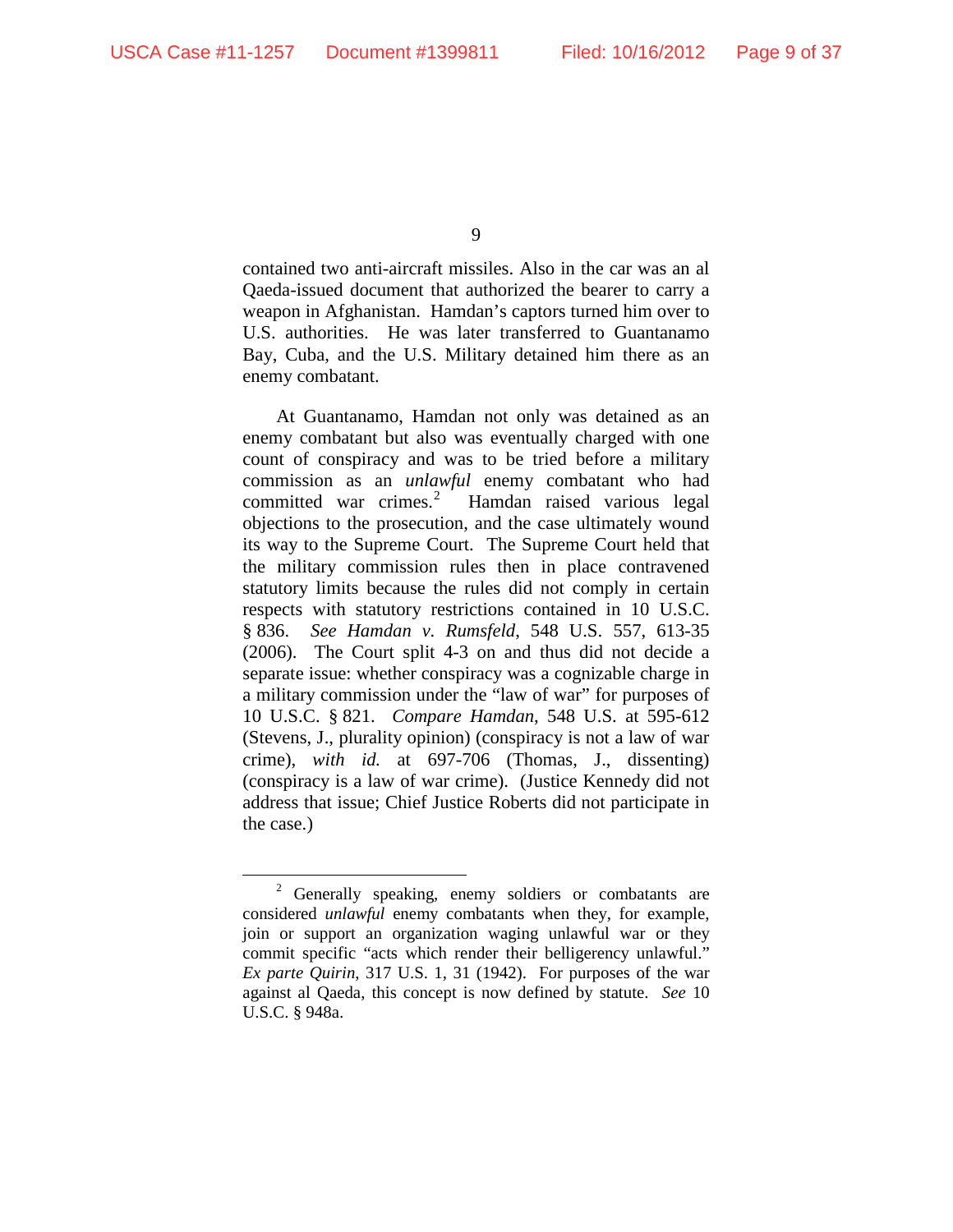contained two anti-aircraft missiles. Also in the car was an al Qaeda-issued document that authorized the bearer to carry a weapon in Afghanistan. Hamdan's captors turned him over to U.S. authorities. He was later transferred to Guantanamo Bay, Cuba, and the U.S. Military detained him there as an enemy combatant.

At Guantanamo, Hamdan not only was detained as an enemy combatant but also was eventually charged with one count of conspiracy and was to be tried before a military commission as an *unlawful* enemy combatant who had committed war crimes. [2](#page-8-0) Hamdan raised various legal objections to the prosecution, and the case ultimately wound its way to the Supreme Court. The Supreme Court held that the military commission rules then in place contravened statutory limits because the rules did not comply in certain respects with statutory restrictions contained in 10 U.S.C. § 836. *See Hamdan v. Rumsfeld*, 548 U.S. 557, 613-35 (2006). The Court split 4-3 on and thus did not decide a separate issue: whether conspiracy was a cognizable charge in a military commission under the "law of war" for purposes of 10 U.S.C. § 821. *Compare Hamdan*, 548 U.S. at 595-612 (Stevens, J., plurality opinion) (conspiracy is not a law of war crime), *with id.* at 697-706 (Thomas, J., dissenting) (conspiracy is a law of war crime). (Justice Kennedy did not address that issue; Chief Justice Roberts did not participate in the case.)

<span id="page-8-0"></span> <sup>2</sup> Generally speaking, enemy soldiers or combatants are considered *unlawful* enemy combatants when they, for example, join or support an organization waging unlawful war or they commit specific "acts which render their belligerency unlawful." *Ex parte Quirin*, 317 U.S. 1, 31 (1942). For purposes of the war against al Qaeda, this concept is now defined by statute. *See* 10 U.S.C. § 948a.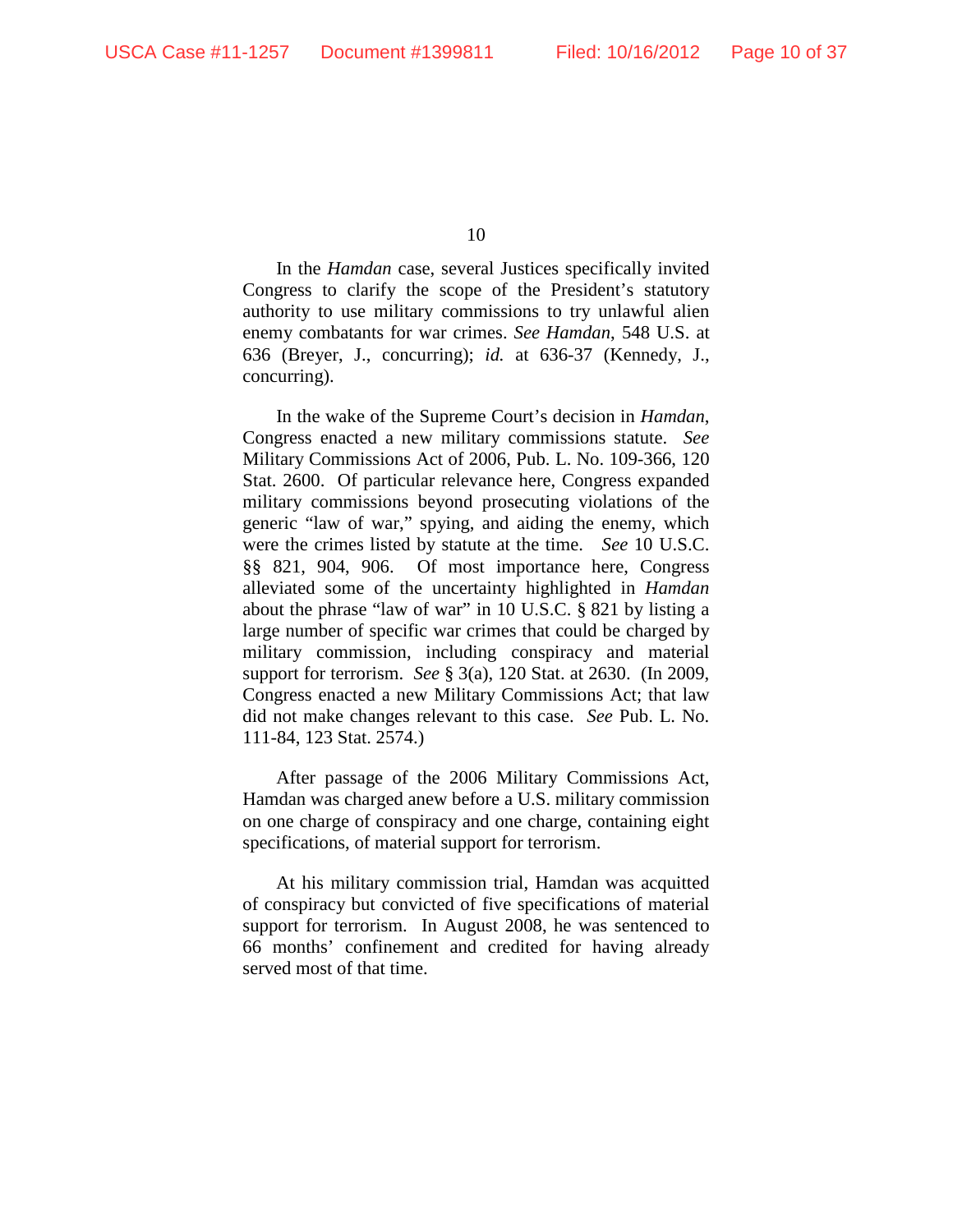In the *Hamdan* case, several Justices specifically invited Congress to clarify the scope of the President's statutory authority to use military commissions to try unlawful alien enemy combatants for war crimes. *See Hamdan*, 548 U.S. at 636 (Breyer, J., concurring); *id.* at 636-37 (Kennedy, J., concurring).

In the wake of the Supreme Court's decision in *Hamdan*, Congress enacted a new military commissions statute. *See*  Military Commissions Act of 2006, Pub. L. No. 109-366, 120 Stat. 2600. Of particular relevance here, Congress expanded military commissions beyond prosecuting violations of the generic "law of war," spying, and aiding the enemy, which were the crimes listed by statute at the time. *See* 10 U.S.C. §§ 821, 904, 906. Of most importance here, Congress alleviated some of the uncertainty highlighted in *Hamdan* about the phrase "law of war" in 10 U.S.C. § 821 by listing a large number of specific war crimes that could be charged by military commission, including conspiracy and material support for terrorism. *See* § 3(a), 120 Stat. at 2630. (In 2009, Congress enacted a new Military Commissions Act; that law did not make changes relevant to this case. *See* Pub. L. No. 111-84, 123 Stat. 2574.)

After passage of the 2006 Military Commissions Act, Hamdan was charged anew before a U.S. military commission on one charge of conspiracy and one charge, containing eight specifications, of material support for terrorism.

At his military commission trial, Hamdan was acquitted of conspiracy but convicted of five specifications of material support for terrorism. In August 2008, he was sentenced to 66 months' confinement and credited for having already served most of that time.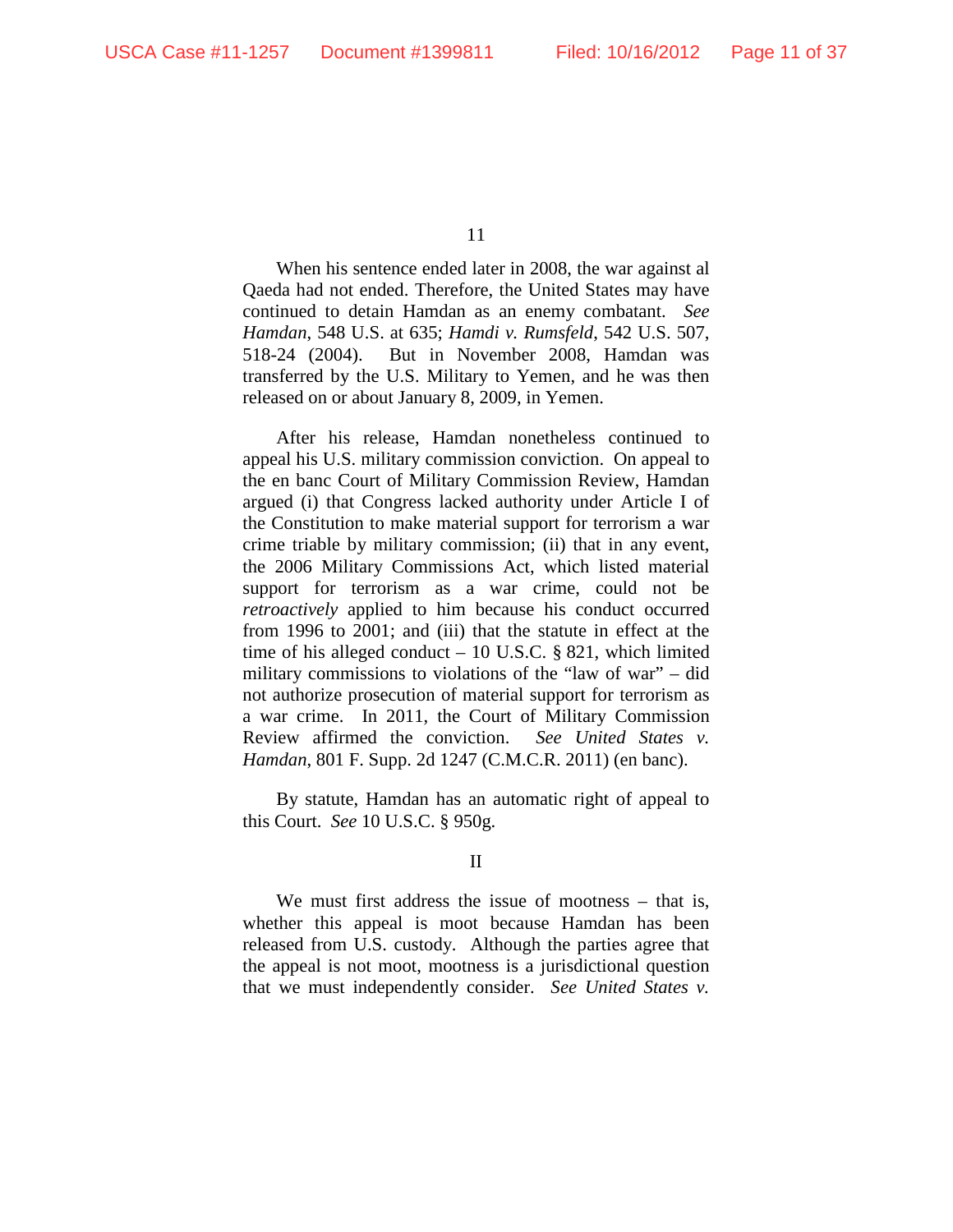When his sentence ended later in 2008, the war against al Qaeda had not ended. Therefore, the United States may have continued to detain Hamdan as an enemy combatant. *See Hamdan*, 548 U.S. at 635; *Hamdi v. Rumsfeld*, 542 U.S. 507, 518-24 (2004). But in November 2008, Hamdan was transferred by the U.S. Military to Yemen, and he was then released on or about January 8, 2009, in Yemen.

After his release, Hamdan nonetheless continued to appeal his U.S. military commission conviction. On appeal to the en banc Court of Military Commission Review, Hamdan argued (i) that Congress lacked authority under Article I of the Constitution to make material support for terrorism a war crime triable by military commission; (ii) that in any event, the 2006 Military Commissions Act, which listed material support for terrorism as a war crime, could not be *retroactively* applied to him because his conduct occurred from 1996 to 2001; and (iii) that the statute in effect at the time of his alleged conduct  $-10$  U.S.C. § 821, which limited military commissions to violations of the "law of war" – did not authorize prosecution of material support for terrorism as a war crime. In 2011, the Court of Military Commission Review affirmed the conviction. *See United States v. Hamdan*, 801 F. Supp. 2d 1247 (C.M.C.R. 2011) (en banc).

By statute, Hamdan has an automatic right of appeal to this Court. *See* 10 U.S.C. § 950g.

### II

We must first address the issue of mootness – that is, whether this appeal is moot because Hamdan has been released from U.S. custody. Although the parties agree that the appeal is not moot, mootness is a jurisdictional question that we must independently consider. *See United States v.*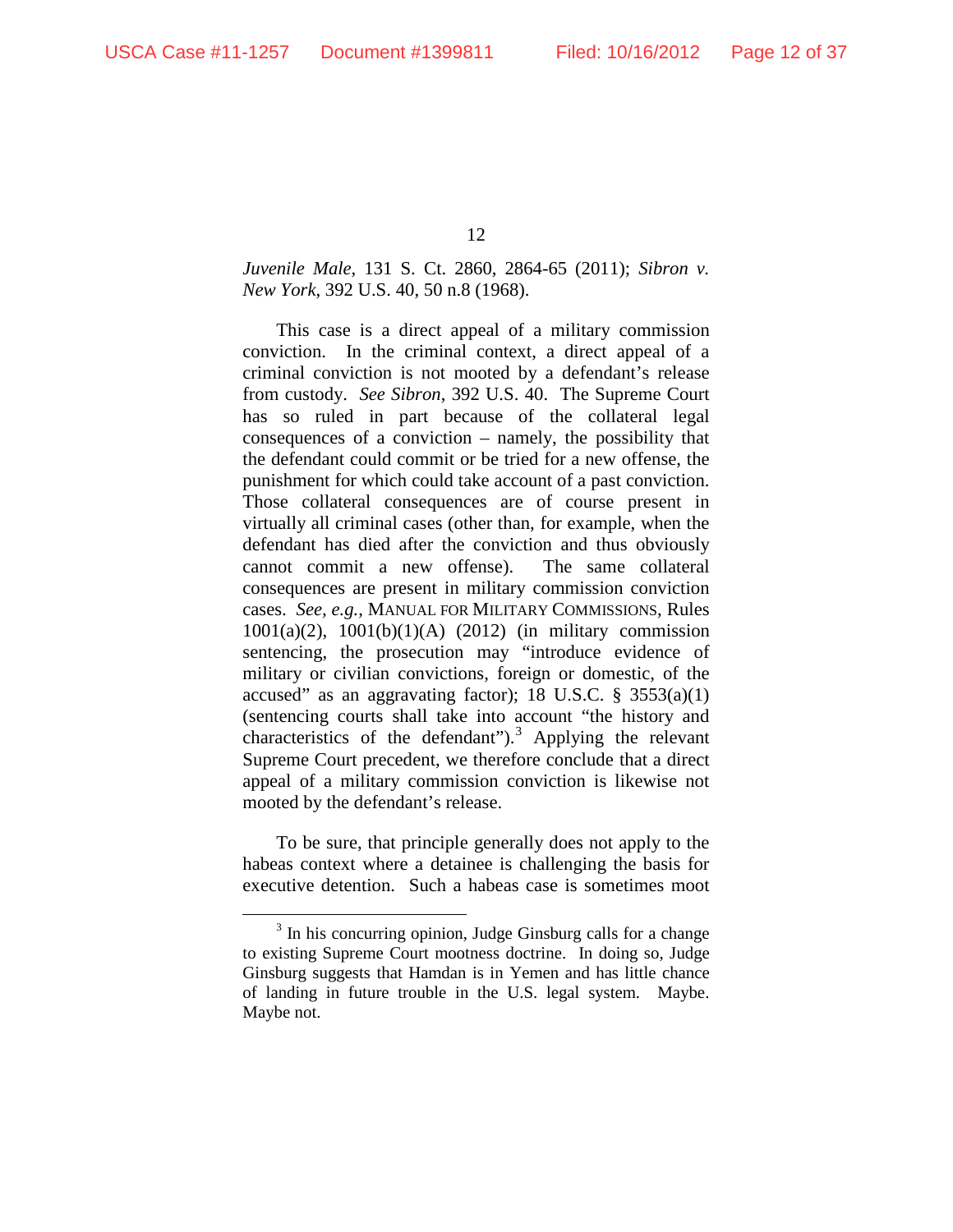*Juvenile Male*, 131 S. Ct. 2860, 2864-65 (2011); *Sibron v. New York*, 392 U.S. 40, 50 n.8 (1968).

This case is a direct appeal of a military commission conviction. In the criminal context, a direct appeal of a criminal conviction is not mooted by a defendant's release from custody. *See Sibron*, 392 U.S. 40. The Supreme Court has so ruled in part because of the collateral legal consequences of a conviction – namely, the possibility that the defendant could commit or be tried for a new offense, the punishment for which could take account of a past conviction. Those collateral consequences are of course present in virtually all criminal cases (other than, for example, when the defendant has died after the conviction and thus obviously cannot commit a new offense). The same collateral consequences are present in military commission conviction cases. *See, e.g.*, MANUAL FOR MILITARY COMMISSIONS, Rules 1001(a)(2), 1001(b)(1)(A) (2012) (in military commission sentencing, the prosecution may "introduce evidence of military or civilian convictions, foreign or domestic, of the accused" as an aggravating factor); 18 U.S.C.  $\S$  3553(a)(1) (sentencing courts shall take into account "the history and characteristics of the defendant").<sup>[3](#page-11-0)</sup> Applying the relevant Supreme Court precedent, we therefore conclude that a direct appeal of a military commission conviction is likewise not mooted by the defendant's release.

To be sure, that principle generally does not apply to the habeas context where a detainee is challenging the basis for executive detention. Such a habeas case is sometimes moot

<span id="page-11-0"></span><sup>&</sup>lt;sup>3</sup> In his concurring opinion, Judge Ginsburg calls for a change to existing Supreme Court mootness doctrine. In doing so, Judge Ginsburg suggests that Hamdan is in Yemen and has little chance of landing in future trouble in the U.S. legal system. Maybe. Maybe not.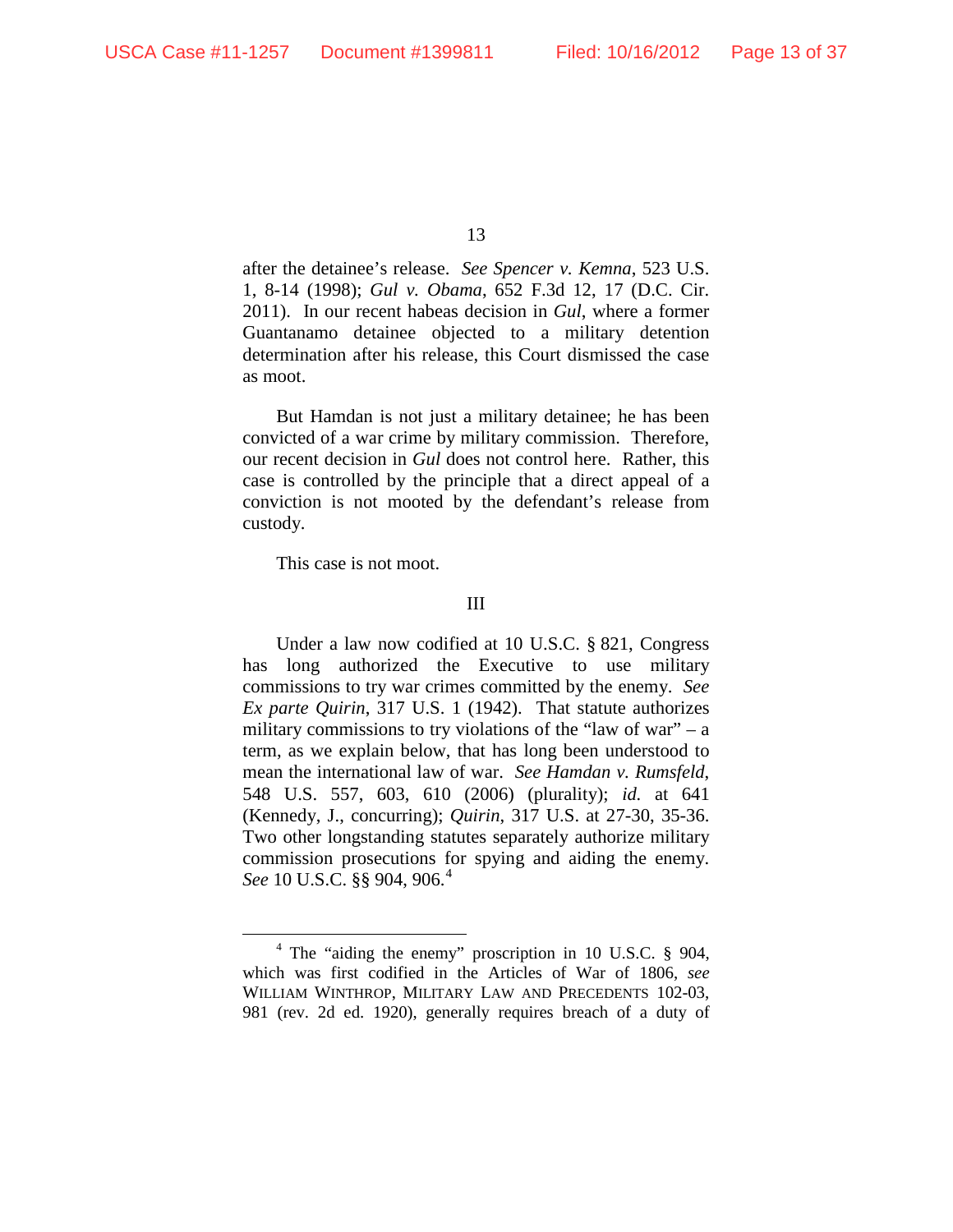after the detainee's release. *See Spencer v. Kemna*, 523 U.S. 1, 8-14 (1998); *Gul v. Obama*, 652 F.3d 12, 17 (D.C. Cir. 2011). In our recent habeas decision in *Gul*, where a former Guantanamo detainee objected to a military detention determination after his release, this Court dismissed the case as moot.

But Hamdan is not just a military detainee; he has been convicted of a war crime by military commission. Therefore, our recent decision in *Gul* does not control here. Rather, this case is controlled by the principle that a direct appeal of a conviction is not mooted by the defendant's release from custody.

This case is not moot.

#### III

Under a law now codified at 10 U.S.C. § 821, Congress has long authorized the Executive to use military commissions to try war crimes committed by the enemy. *See Ex parte Quirin*, 317 U.S. 1 (1942). That statute authorizes military commissions to try violations of the "law of war" – a term, as we explain below, that has long been understood to mean the international law of war. *See Hamdan v. Rumsfeld*, 548 U.S. 557, 603, 610 (2006) (plurality); *id.* at 641 (Kennedy, J., concurring); *Quirin*, 317 U.S. at 27-30, 35-36. Two other longstanding statutes separately authorize military commission prosecutions for spying and aiding the enemy. *See* 10 U.S.C. §§ 90[4](#page-12-0), 906.<sup>4</sup>

<span id="page-12-0"></span> <sup>4</sup> The "aiding the enemy" proscription in 10 U.S.C. § 904, which was first codified in the Articles of War of 1806, *see*  WILLIAM WINTHROP, MILITARY LAW AND PRECEDENTS 102-03, 981 (rev. 2d ed. 1920), generally requires breach of a duty of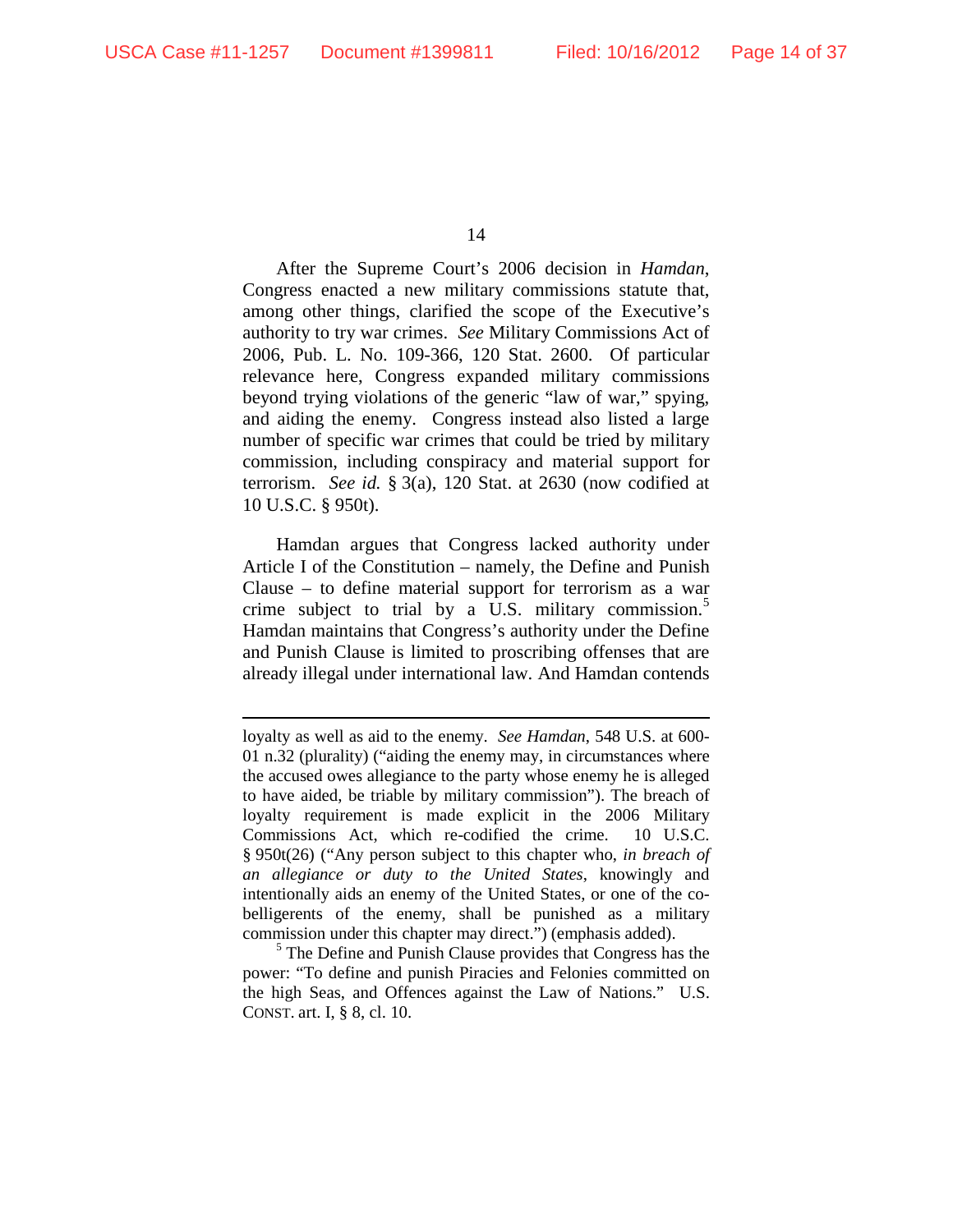14

After the Supreme Court's 2006 decision in *Hamdan*, Congress enacted a new military commissions statute that, among other things, clarified the scope of the Executive's authority to try war crimes. *See* Military Commissions Act of 2006, Pub. L. No. 109-366, 120 Stat. 2600. Of particular relevance here, Congress expanded military commissions beyond trying violations of the generic "law of war," spying, and aiding the enemy. Congress instead also listed a large number of specific war crimes that could be tried by military commission, including conspiracy and material support for terrorism. *See id.* § 3(a), 120 Stat. at 2630 (now codified at 10 U.S.C. § 950t).

Hamdan argues that Congress lacked authority under Article I of the Constitution – namely, the Define and Punish Clause – to define material support for terrorism as a war crime subject to trial by a U.S. military commission.<sup>[5](#page-13-0)</sup> Hamdan maintains that Congress's authority under the Define and Punish Clause is limited to proscribing offenses that are already illegal under international law. And Hamdan contends

loyalty as well as aid to the enemy. *See Hamdan*, 548 U.S. at 600- 01 n.32 (plurality) ("aiding the enemy may, in circumstances where the accused owes allegiance to the party whose enemy he is alleged to have aided, be triable by military commission"). The breach of loyalty requirement is made explicit in the 2006 Military Commissions Act, which re-codified the crime. 10 U.S.C. § 950t(26) ("Any person subject to this chapter who, *in breach of an allegiance or duty to the United States*, knowingly and intentionally aids an enemy of the United States, or one of the cobelligerents of the enemy, shall be punished as a military commission under this chapter may direct.") (emphasis added).

<span id="page-13-0"></span><sup>&</sup>lt;sup>5</sup> The Define and Punish Clause provides that Congress has the power: "To define and punish Piracies and Felonies committed on the high Seas, and Offences against the Law of Nations." U.S. CONST. art. I, § 8, cl. 10.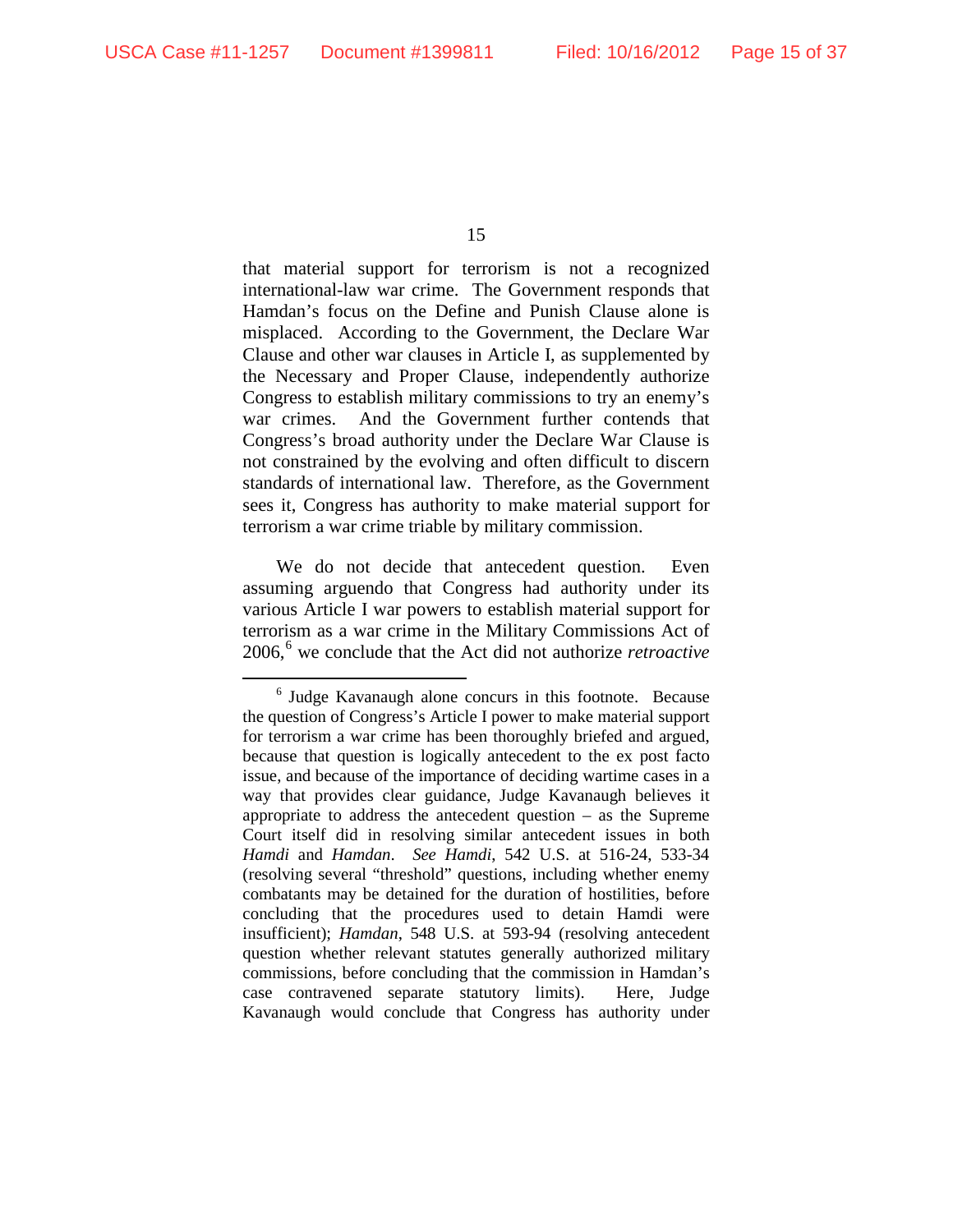that material support for terrorism is not a recognized international-law war crime. The Government responds that Hamdan's focus on the Define and Punish Clause alone is misplaced. According to the Government, the Declare War Clause and other war clauses in Article I, as supplemented by the Necessary and Proper Clause, independently authorize Congress to establish military commissions to try an enemy's war crimes. And the Government further contends that Congress's broad authority under the Declare War Clause is not constrained by the evolving and often difficult to discern standards of international law. Therefore, as the Government sees it, Congress has authority to make material support for terrorism a war crime triable by military commission.

We do not decide that antecedent question. Even assuming arguendo that Congress had authority under its various Article I war powers to establish material support for terrorism as a war crime in the Military Commissions Act of 2006, [6](#page-14-0) we conclude that the Act did not authorize *retroactive*

<span id="page-14-0"></span> <sup>6</sup> Judge Kavanaugh alone concurs in this footnote. Because the question of Congress's Article I power to make material support for terrorism a war crime has been thoroughly briefed and argued, because that question is logically antecedent to the ex post facto issue, and because of the importance of deciding wartime cases in a way that provides clear guidance, Judge Kavanaugh believes it appropriate to address the antecedent question – as the Supreme Court itself did in resolving similar antecedent issues in both *Hamdi* and *Hamdan*. *See Hamdi*, 542 U.S. at 516-24, 533-34 (resolving several "threshold" questions, including whether enemy combatants may be detained for the duration of hostilities, before concluding that the procedures used to detain Hamdi were insufficient); *Hamdan*, 548 U.S. at 593-94 (resolving antecedent question whether relevant statutes generally authorized military commissions, before concluding that the commission in Hamdan's case contravened separate statutory limits). Here, Judge Kavanaugh would conclude that Congress has authority under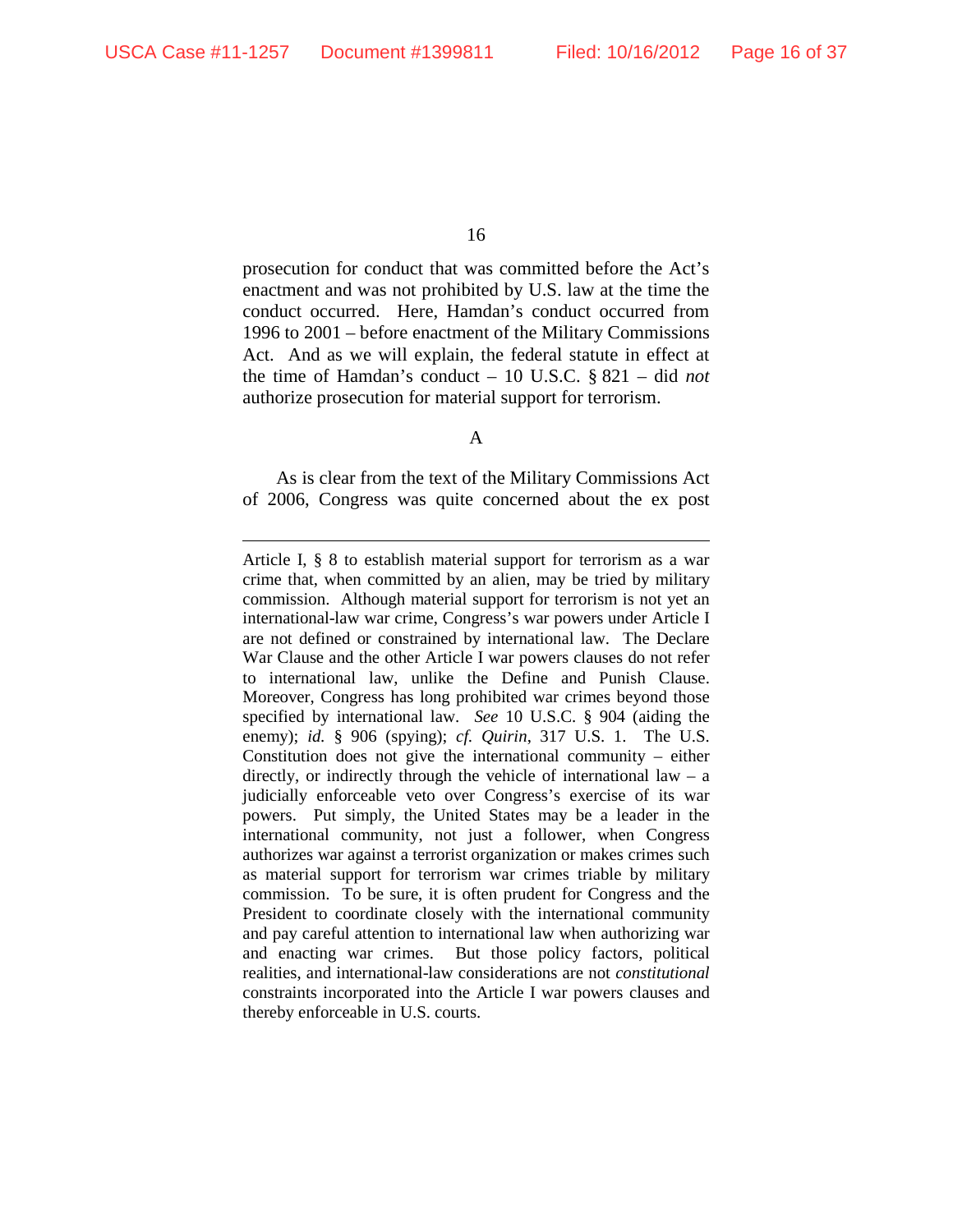16

prosecution for conduct that was committed before the Act's enactment and was not prohibited by U.S. law at the time the conduct occurred. Here, Hamdan's conduct occurred from 1996 to 2001 – before enactment of the Military Commissions Act. And as we will explain, the federal statute in effect at the time of Hamdan's conduct – 10 U.S.C. § 821 – did *not* authorize prosecution for material support for terrorism.

## A

As is clear from the text of the Military Commissions Act of 2006, Congress was quite concerned about the ex post

Article I, § 8 to establish material support for terrorism as a war crime that, when committed by an alien, may be tried by military commission. Although material support for terrorism is not yet an international-law war crime, Congress's war powers under Article I are not defined or constrained by international law. The Declare War Clause and the other Article I war powers clauses do not refer to international law, unlike the Define and Punish Clause. Moreover, Congress has long prohibited war crimes beyond those specified by international law. *See* 10 U.S.C. § 904 (aiding the enemy); *id.* § 906 (spying); *cf. Quirin*, 317 U.S. 1. The U.S. Constitution does not give the international community – either directly, or indirectly through the vehicle of international law – a judicially enforceable veto over Congress's exercise of its war powers. Put simply, the United States may be a leader in the international community, not just a follower, when Congress authorizes war against a terrorist organization or makes crimes such as material support for terrorism war crimes triable by military commission. To be sure, it is often prudent for Congress and the President to coordinate closely with the international community and pay careful attention to international law when authorizing war and enacting war crimes. But those policy factors, political realities, and international-law considerations are not *constitutional* constraints incorporated into the Article I war powers clauses and thereby enforceable in U.S. courts.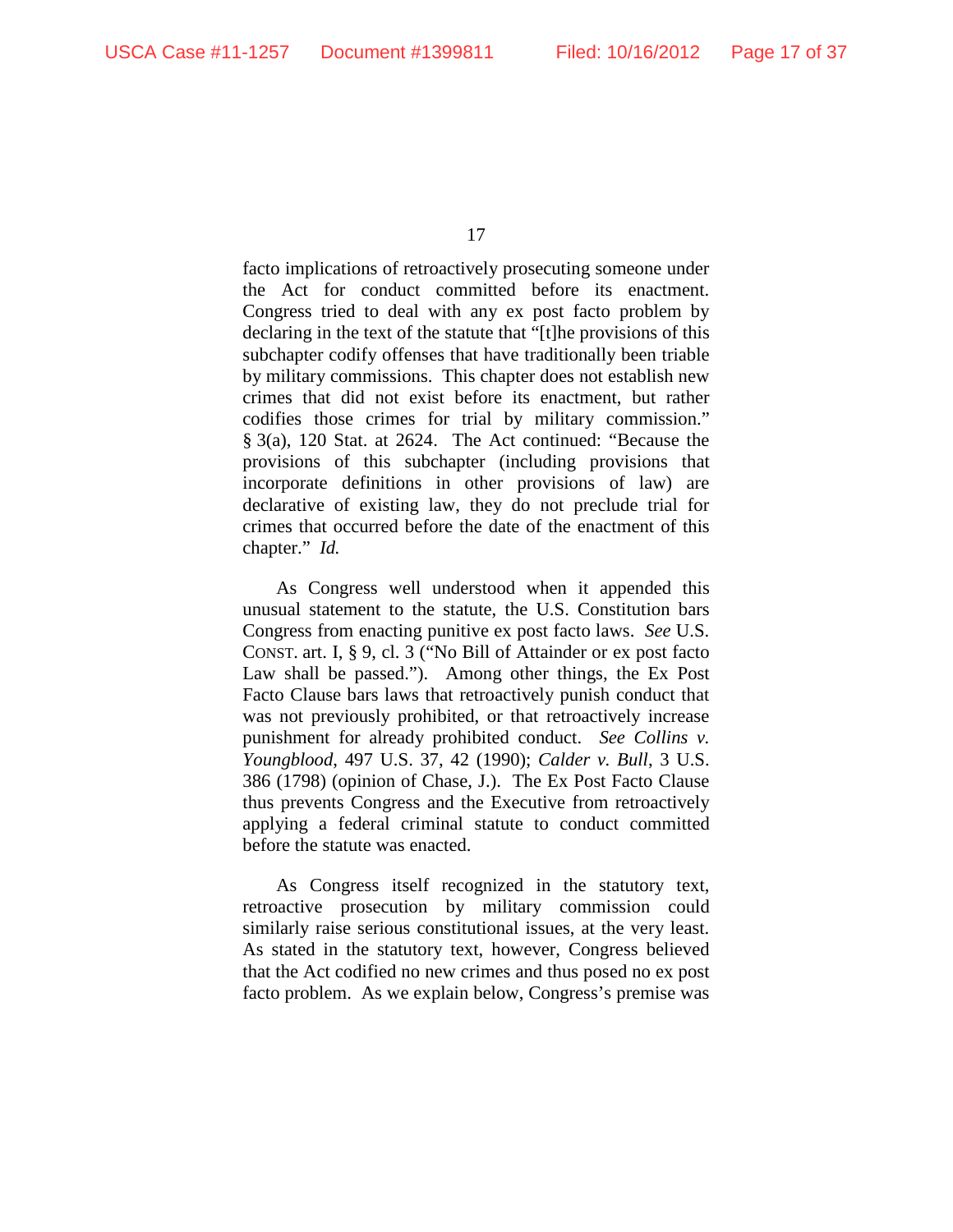facto implications of retroactively prosecuting someone under the Act for conduct committed before its enactment. Congress tried to deal with any ex post facto problem by declaring in the text of the statute that "[t]he provisions of this subchapter codify offenses that have traditionally been triable by military commissions. This chapter does not establish new crimes that did not exist before its enactment, but rather codifies those crimes for trial by military commission." § 3(a), 120 Stat. at 2624. The Act continued: "Because the provisions of this subchapter (including provisions that incorporate definitions in other provisions of law) are declarative of existing law, they do not preclude trial for crimes that occurred before the date of the enactment of this chapter." *Id.*

As Congress well understood when it appended this unusual statement to the statute, the U.S. Constitution bars Congress from enacting punitive ex post facto laws. *See* U.S. CONST. art. I, § 9, cl. 3 ("No Bill of Attainder or ex post facto Law shall be passed."). Among other things, the Ex Post Facto Clause bars laws that retroactively punish conduct that was not previously prohibited, or that retroactively increase punishment for already prohibited conduct. *See Collins v. Youngblood*, 497 U.S. 37, 42 (1990); *Calder v. Bull*, 3 U.S. 386 (1798) (opinion of Chase, J.). The Ex Post Facto Clause thus prevents Congress and the Executive from retroactively applying a federal criminal statute to conduct committed before the statute was enacted.

As Congress itself recognized in the statutory text, retroactive prosecution by military commission could similarly raise serious constitutional issues, at the very least. As stated in the statutory text, however, Congress believed that the Act codified no new crimes and thus posed no ex post facto problem. As we explain below, Congress's premise was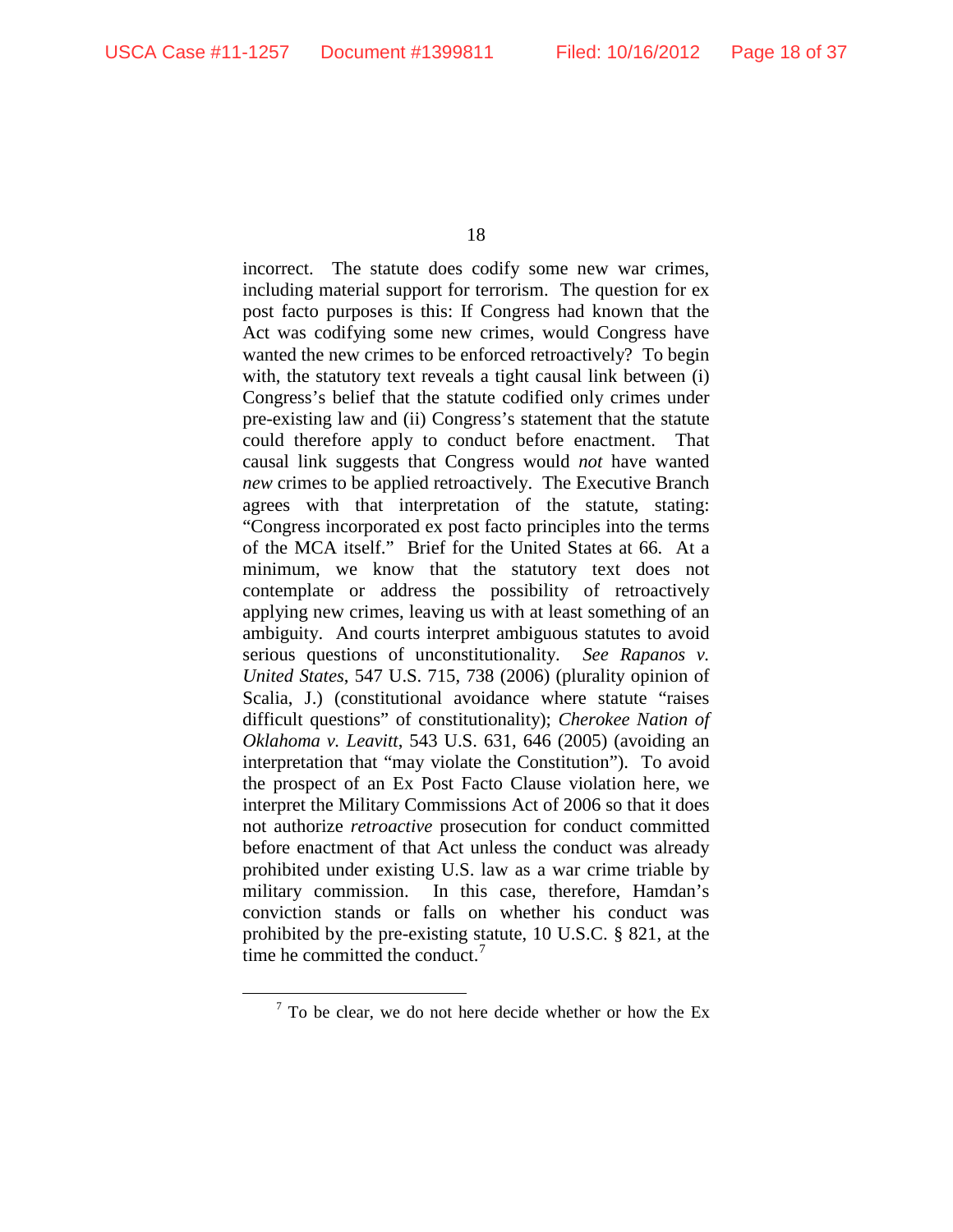incorrect. The statute does codify some new war crimes, including material support for terrorism. The question for ex post facto purposes is this: If Congress had known that the Act was codifying some new crimes, would Congress have wanted the new crimes to be enforced retroactively? To begin with, the statutory text reveals a tight causal link between (i) Congress's belief that the statute codified only crimes under pre-existing law and (ii) Congress's statement that the statute could therefore apply to conduct before enactment. That causal link suggests that Congress would *not* have wanted *new* crimes to be applied retroactively. The Executive Branch agrees with that interpretation of the statute, stating: "Congress incorporated ex post facto principles into the terms of the MCA itself." Brief for the United States at 66. At a minimum, we know that the statutory text does not contemplate or address the possibility of retroactively applying new crimes, leaving us with at least something of an ambiguity. And courts interpret ambiguous statutes to avoid serious questions of unconstitutionality. *See Rapanos v. United States*, 547 U.S. 715, 738 (2006) (plurality opinion of Scalia, J.) (constitutional avoidance where statute "raises difficult questions" of constitutionality); *Cherokee Nation of Oklahoma v. Leavitt*, 543 U.S. 631, 646 (2005) (avoiding an interpretation that "may violate the Constitution"). To avoid the prospect of an Ex Post Facto Clause violation here, we interpret the Military Commissions Act of 2006 so that it does not authorize *retroactive* prosecution for conduct committed before enactment of that Act unless the conduct was already prohibited under existing U.S. law as a war crime triable by military commission. In this case, therefore, Hamdan's conviction stands or falls on whether his conduct was prohibited by the pre-existing statute, 10 U.S.C. § 821, at the time he committed the conduct.<sup>[7](#page-17-0)</sup>

<span id="page-17-0"></span> $7$  To be clear, we do not here decide whether or how the Ex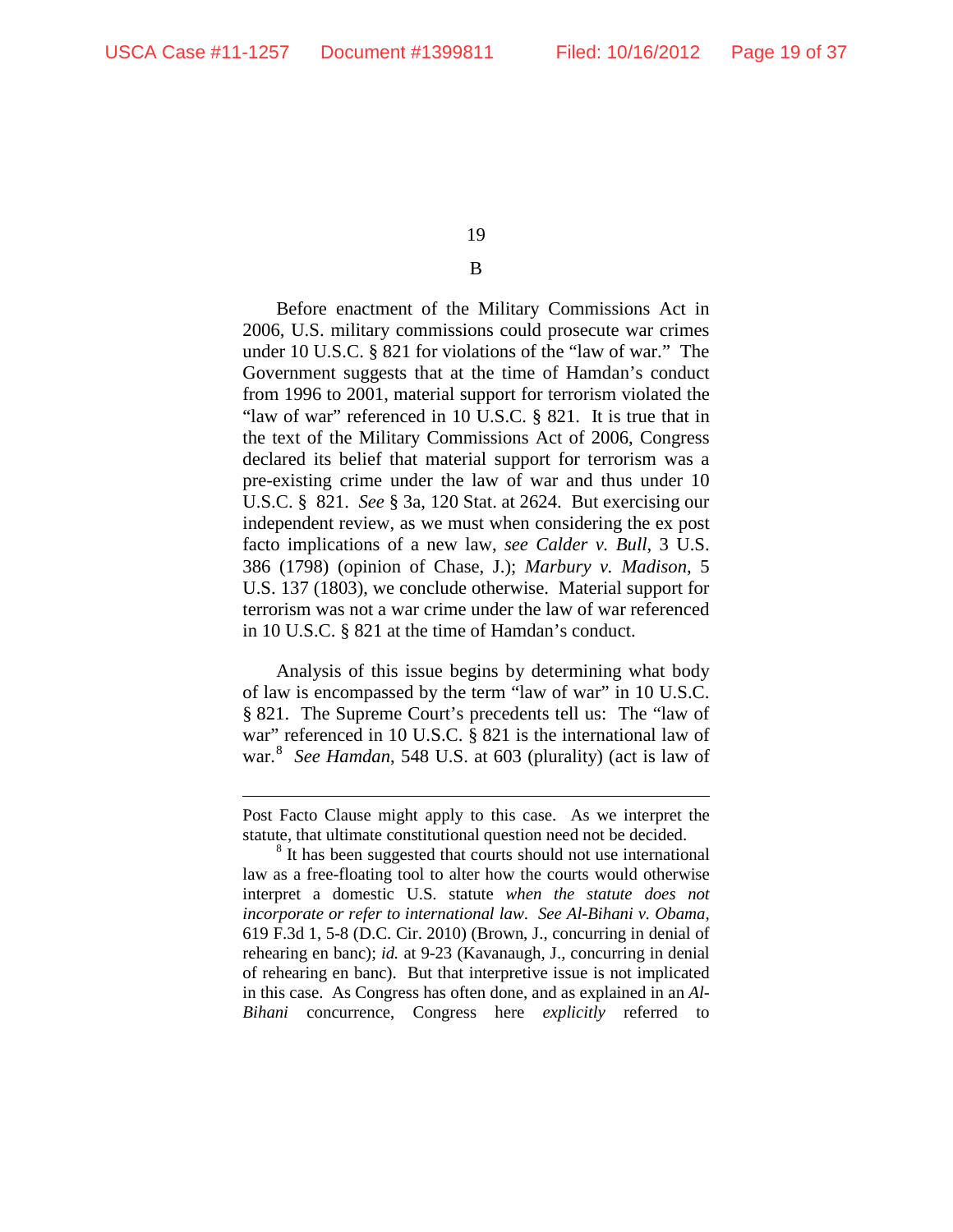19

# B

Before enactment of the Military Commissions Act in 2006, U.S. military commissions could prosecute war crimes under 10 U.S.C. § 821 for violations of the "law of war." The Government suggests that at the time of Hamdan's conduct from 1996 to 2001, material support for terrorism violated the "law of war" referenced in 10 U.S.C. § 821. It is true that in the text of the Military Commissions Act of 2006, Congress declared its belief that material support for terrorism was a pre-existing crime under the law of war and thus under 10 U.S.C. § 821. *See* § 3a, 120 Stat. at 2624. But exercising our independent review, as we must when considering the ex post facto implications of a new law, *see Calder v. Bull*, 3 U.S. 386 (1798) (opinion of Chase, J.); *Marbury v. Madison*, 5 U.S. 137 (1803), we conclude otherwise. Material support for terrorism was not a war crime under the law of war referenced in 10 U.S.C. § 821 at the time of Hamdan's conduct.

Analysis of this issue begins by determining what body of law is encompassed by the term "law of war" in 10 U.S.C. § 821. The Supreme Court's precedents tell us: The "law of war" referenced in 10 U.S.C. § 821 is the international law of war.<sup>[8](#page-18-0)</sup> See Hamdan, 548 U.S. at 603 (plurality) (act is law of

Post Facto Clause might apply to this case. As we interpret the statute, that ultimate constitutional question need not be decided.

<span id="page-18-0"></span><sup>&</sup>lt;sup>8</sup> It has been suggested that courts should not use international law as a free-floating tool to alter how the courts would otherwise interpret a domestic U.S. statute *when the statute does not incorporate or refer to international law*. *See Al-Bihani v. Obama*, 619 F.3d 1, 5-8 (D.C. Cir. 2010) (Brown, J., concurring in denial of rehearing en banc); *id.* at 9-23 (Kavanaugh, J., concurring in denial of rehearing en banc). But that interpretive issue is not implicated in this case. As Congress has often done, and as explained in an *Al-Bihani* concurrence, Congress here *explicitly* referred to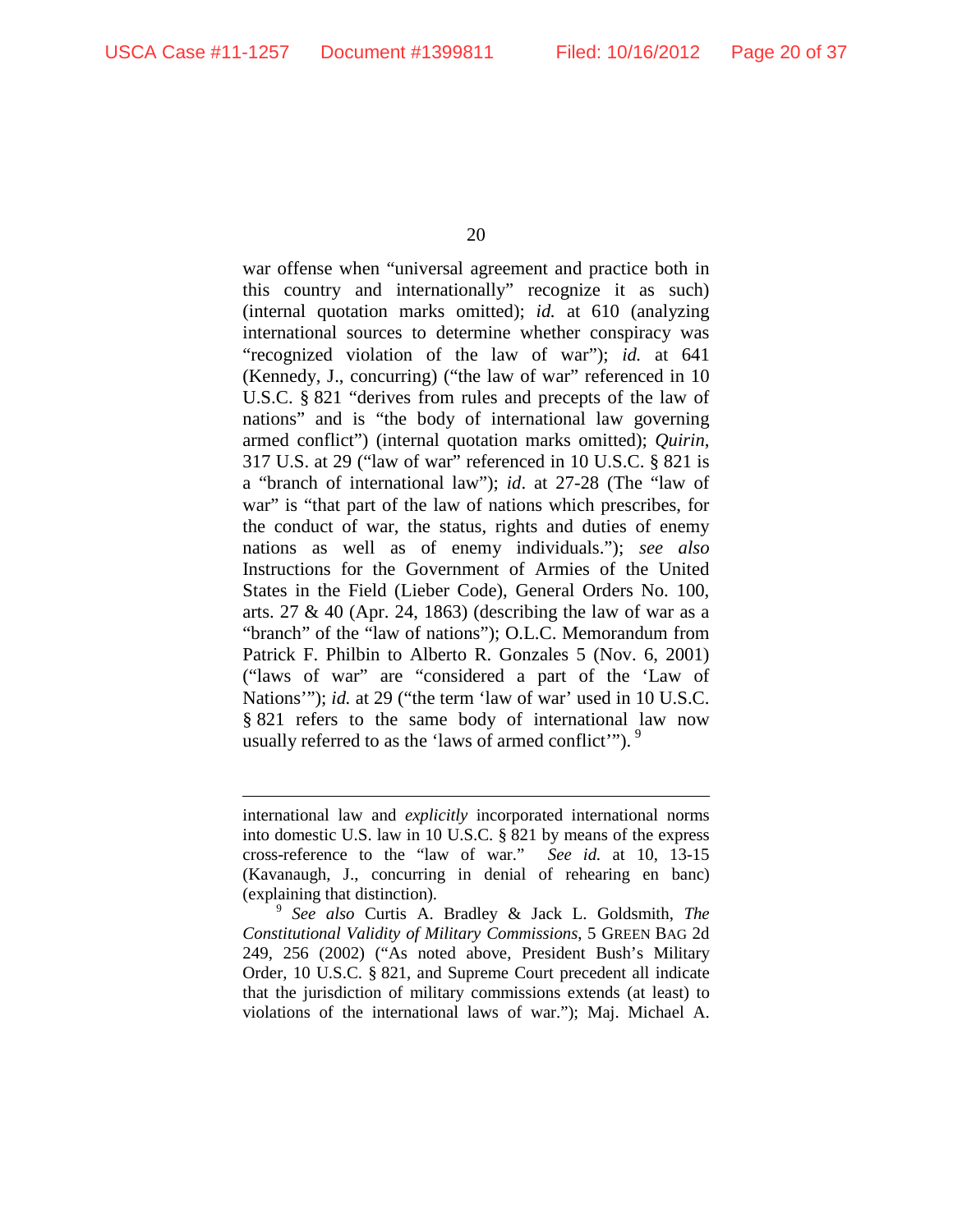20

war offense when "universal agreement and practice both in this country and internationally" recognize it as such) (internal quotation marks omitted); *id.* at 610 (analyzing international sources to determine whether conspiracy was "recognized violation of the law of war"); *id.* at 641 (Kennedy, J., concurring) ("the law of war" referenced in 10 U.S.C. § 821 "derives from rules and precepts of the law of nations" and is "the body of international law governing armed conflict") (internal quotation marks omitted); *Quirin*, 317 U.S. at 29 ("law of war" referenced in 10 U.S.C. § 821 is a "branch of international law"); *id*. at 27-28 (The "law of war" is "that part of the law of nations which prescribes, for the conduct of war, the status, rights and duties of enemy nations as well as of enemy individuals."); *see also*  Instructions for the Government of Armies of the United States in the Field (Lieber Code), General Orders No. 100, arts. 27 & 40 (Apr. 24, 1863) (describing the law of war as a "branch" of the "law of nations"); O.L.C. Memorandum from Patrick F. Philbin to Alberto R. Gonzales 5 (Nov. 6, 2001) ("laws of war" are "considered a part of the 'Law of Nations'"); *id.* at 29 ("the term 'law of war' used in 10 U.S.C. § 821 refers to the same body of international law now usually referred to as the 'laws of armed conflict'"). <sup>[9](#page-19-0)</sup>

international law and *explicitly* incorporated international norms into domestic U.S. law in 10 U.S.C. § 821 by means of the express cross-reference to the "law of war." *See id.* at 10, 13-15 (Kavanaugh, J., concurring in denial of rehearing en banc) (explaining that distinction).

<span id="page-19-0"></span><sup>9</sup> *See also* Curtis A. Bradley & Jack L. Goldsmith, *The Constitutional Validity of Military Commissions*, 5 GREEN BAG 2d 249, 256 (2002) ("As noted above, President Bush's Military Order, 10 U.S.C. § 821, and Supreme Court precedent all indicate that the jurisdiction of military commissions extends (at least) to violations of the international laws of war."); Maj. Michael A.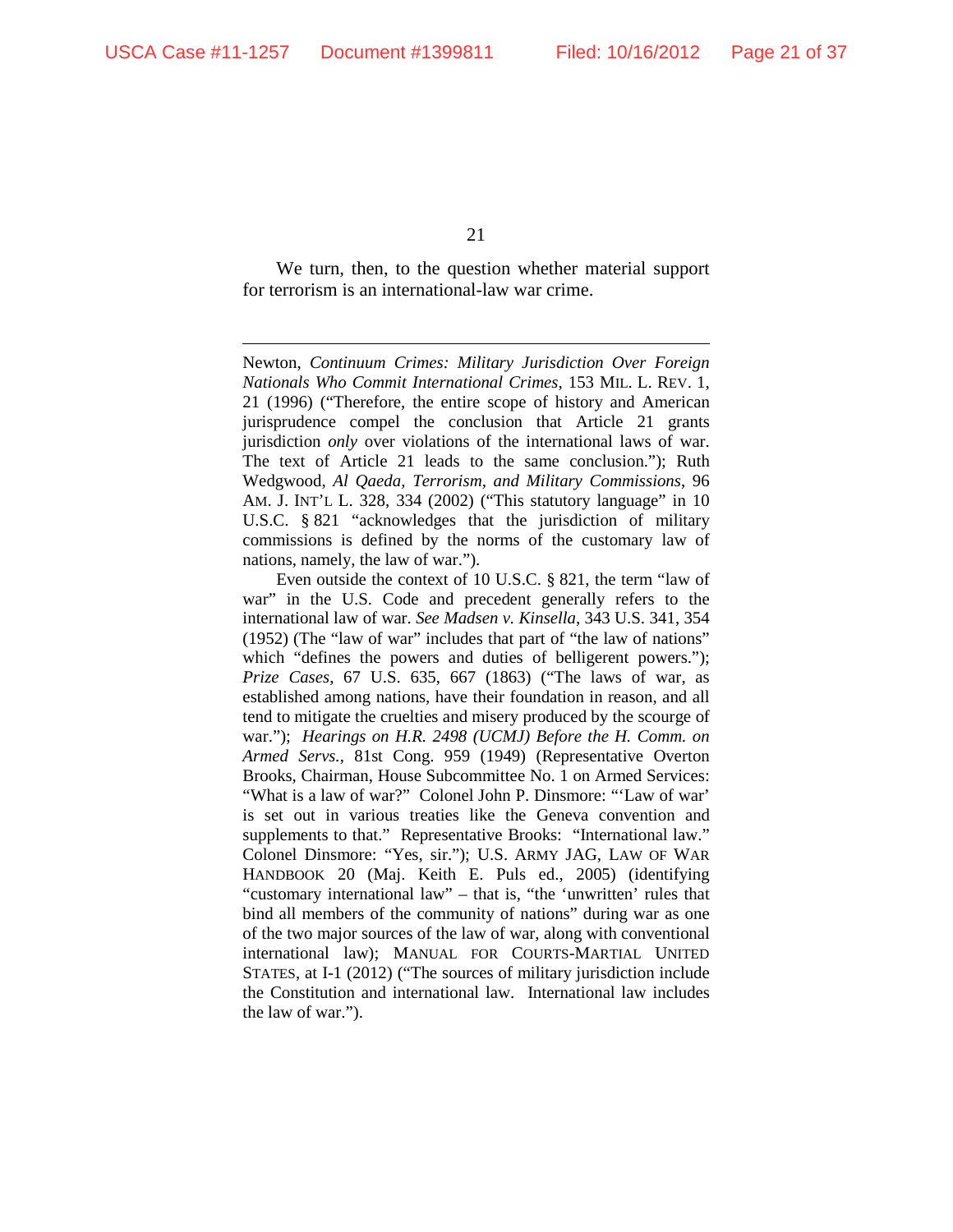21

We turn, then, to the question whether material support for terrorism is an international-law war crime.

Newton, *Continuum Crimes: Military Jurisdiction Over Foreign Nationals Who Commit International Crimes*, 153 MIL. L. REV. 1, 21 (1996) ("Therefore, the entire scope of history and American jurisprudence compel the conclusion that Article 21 grants jurisdiction *only* over violations of the international laws of war. The text of Article 21 leads to the same conclusion."); Ruth Wedgwood, *Al Qaeda, Terrorism, and Military Commissions*, 96 AM. J. INT'L L. 328, 334 (2002) ("This statutory language" in 10 U.S.C. § 821 "acknowledges that the jurisdiction of military commissions is defined by the norms of the customary law of nations, namely, the law of war.").

Even outside the context of 10 U.S.C. § 821, the term "law of war" in the U.S. Code and precedent generally refers to the international law of war. *See Madsen v. Kinsella*, 343 U.S. 341, 354 (1952) (The "law of war" includes that part of "the law of nations" which "defines the powers and duties of belligerent powers."); *Prize Cases*, 67 U.S. 635, 667 (1863) ("The laws of war, as established among nations, have their foundation in reason, and all tend to mitigate the cruelties and misery produced by the scourge of war."); *Hearings on H.R. 2498 (UCMJ) Before the H. Comm. on Armed Servs.*, 81st Cong. 959 (1949) (Representative Overton Brooks, Chairman, House Subcommittee No. 1 on Armed Services: "What is a law of war?" Colonel John P. Dinsmore: "'Law of war' is set out in various treaties like the Geneva convention and supplements to that." Representative Brooks: "International law." Colonel Dinsmore: "Yes, sir."); U.S. ARMY JAG, LAW OF WAR HANDBOOK 20 (Maj. Keith E. Puls ed., 2005) (identifying "customary international law" – that is, "the 'unwritten' rules that bind all members of the community of nations" during war as one of the two major sources of the law of war, along with conventional international law); MANUAL FOR COURTS-MARTIAL UNITED STATES, at I-1 (2012) ("The sources of military jurisdiction include the Constitution and international law. International law includes the law of war.").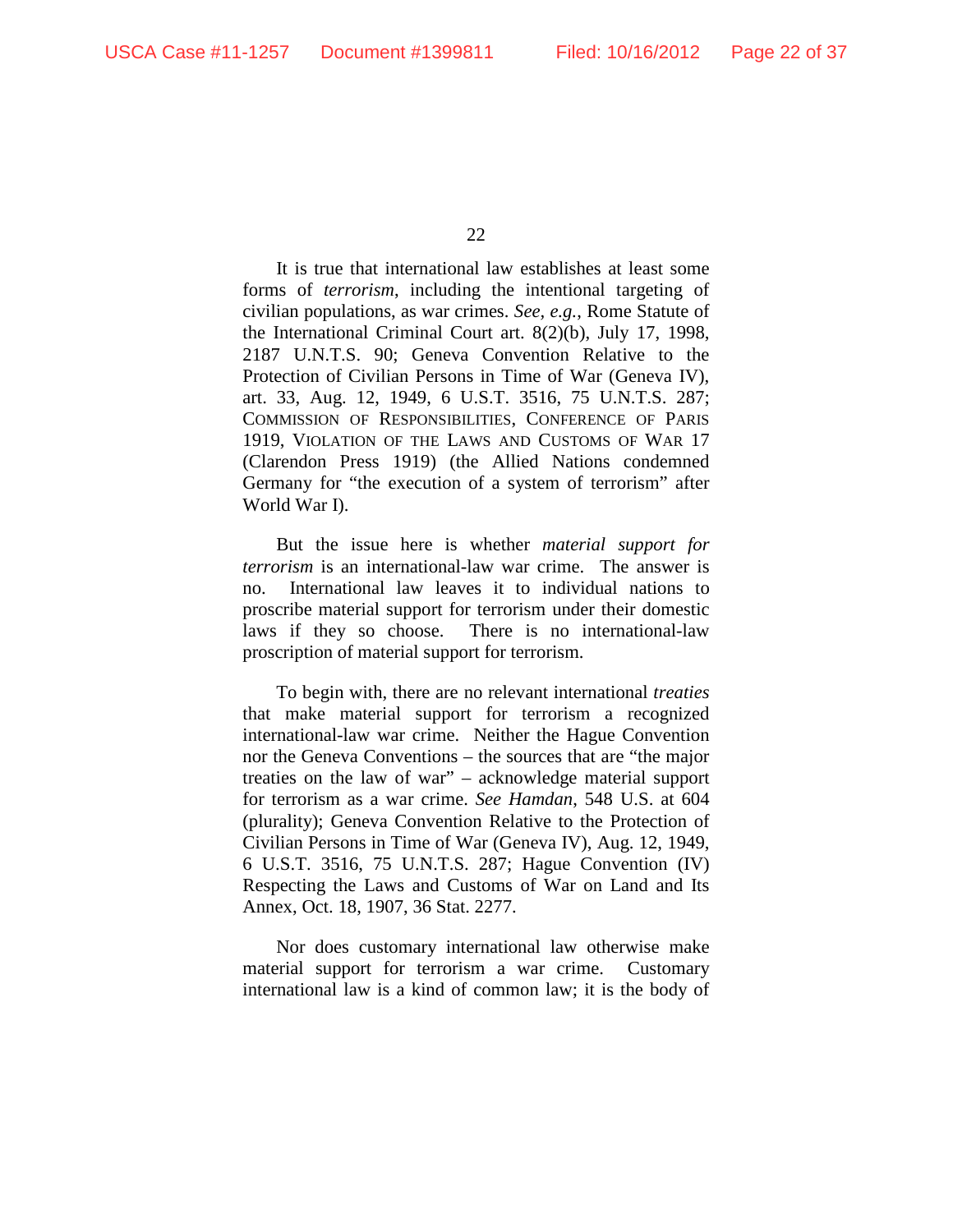It is true that international law establishes at least some forms of *terrorism*, including the intentional targeting of civilian populations, as war crimes. *See, e.g.*, Rome Statute of the International Criminal Court art. 8(2)(b), July 17, 1998, 2187 U.N.T.S. 90; Geneva Convention Relative to the Protection of Civilian Persons in Time of War (Geneva IV), art. 33, Aug. 12, 1949, 6 U.S.T. 3516, 75 U.N.T.S. 287; COMMISSION OF RESPONSIBILITIES, CONFERENCE OF PARIS 1919, VIOLATION OF THE LAWS AND CUSTOMS OF WAR 17 (Clarendon Press 1919) (the Allied Nations condemned Germany for "the execution of a system of terrorism" after World War I).

But the issue here is whether *material support for terrorism* is an international-law war crime. The answer is no. International law leaves it to individual nations to proscribe material support for terrorism under their domestic laws if they so choose. There is no international-law proscription of material support for terrorism.

To begin with, there are no relevant international *treaties* that make material support for terrorism a recognized international-law war crime. Neither the Hague Convention nor the Geneva Conventions – the sources that are "the major treaties on the law of war" – acknowledge material support for terrorism as a war crime. *See Hamdan*, 548 U.S. at 604 (plurality); Geneva Convention Relative to the Protection of Civilian Persons in Time of War (Geneva IV), Aug. 12, 1949, 6 U.S.T. 3516, 75 U.N.T.S. 287; Hague Convention (IV) Respecting the Laws and Customs of War on Land and Its Annex, Oct. 18, 1907, 36 Stat. 2277.

Nor does customary international law otherwise make material support for terrorism a war crime. Customary international law is a kind of common law; it is the body of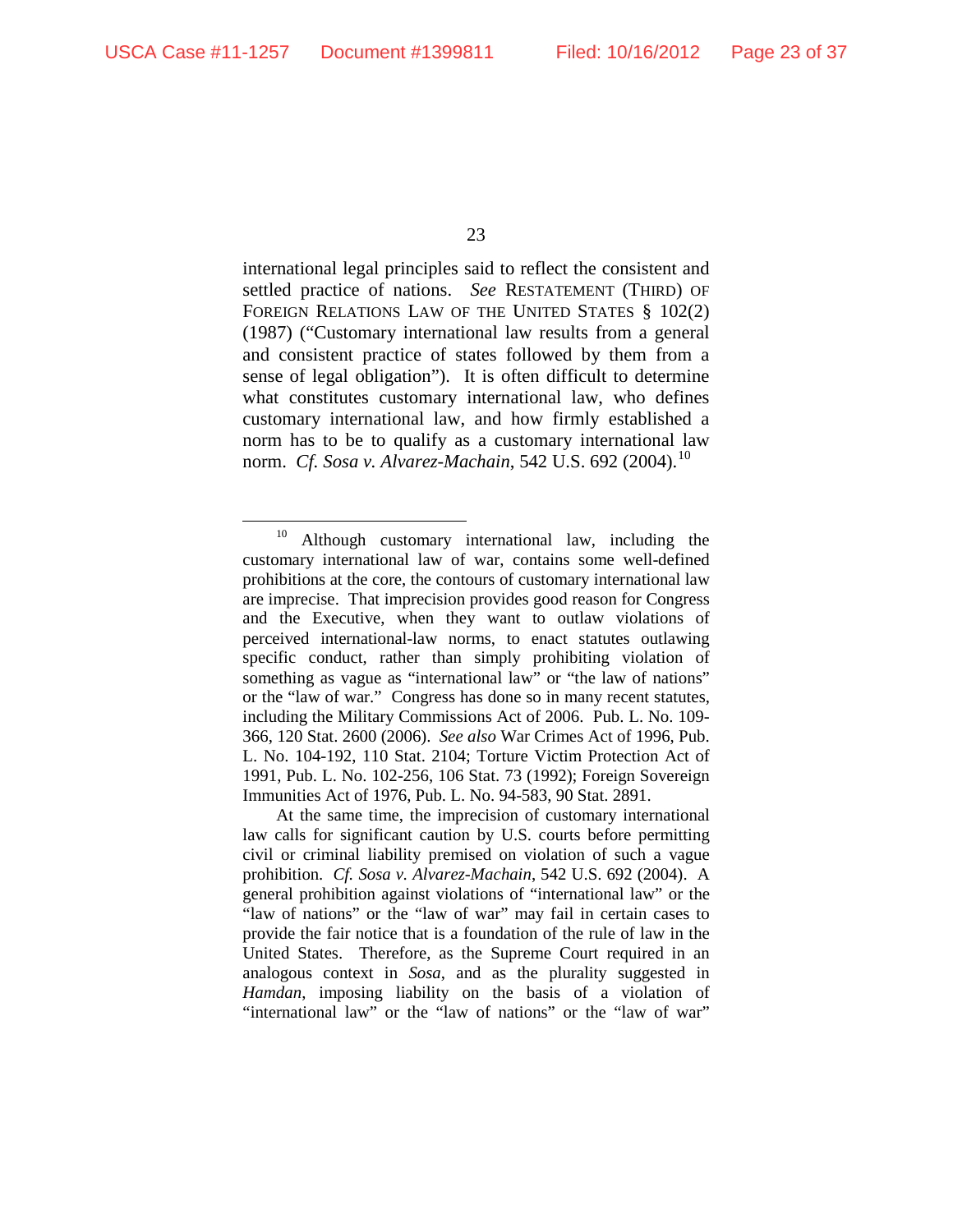international legal principles said to reflect the consistent and settled practice of nations. *See* RESTATEMENT (THIRD) OF FOREIGN RELATIONS LAW OF THE UNITED STATES § 102(2) (1987) ("Customary international law results from a general and consistent practice of states followed by them from a sense of legal obligation"). It is often difficult to determine what constitutes customary international law, who defines customary international law, and how firmly established a norm has to be to qualify as a customary international law norm. *Cf. Sosa v. Alvarez-Machain*, 542 U.S. 692 (2004).<sup>[10](#page-22-0)</sup>

<span id="page-22-0"></span> $10$  Although customary international law, including the customary international law of war, contains some well-defined prohibitions at the core, the contours of customary international law are imprecise. That imprecision provides good reason for Congress and the Executive, when they want to outlaw violations of perceived international-law norms, to enact statutes outlawing specific conduct, rather than simply prohibiting violation of something as vague as "international law" or "the law of nations" or the "law of war." Congress has done so in many recent statutes, including the Military Commissions Act of 2006. Pub. L. No. 109- 366, 120 Stat. 2600 (2006). *See also* War Crimes Act of 1996, Pub. L. No. 104-192, 110 Stat. 2104; Torture Victim Protection Act of 1991, Pub. L. No. 102-256, 106 Stat. 73 (1992); Foreign Sovereign Immunities Act of 1976, Pub. L. No. 94-583, 90 Stat. 2891.

At the same time, the imprecision of customary international law calls for significant caution by U.S. courts before permitting civil or criminal liability premised on violation of such a vague prohibition. *Cf. Sosa v. Alvarez-Machain*, 542 U.S. 692 (2004). A general prohibition against violations of "international law" or the "law of nations" or the "law of war" may fail in certain cases to provide the fair notice that is a foundation of the rule of law in the United States. Therefore, as the Supreme Court required in an analogous context in *Sosa*, and as the plurality suggested in *Hamdan*, imposing liability on the basis of a violation of "international law" or the "law of nations" or the "law of war"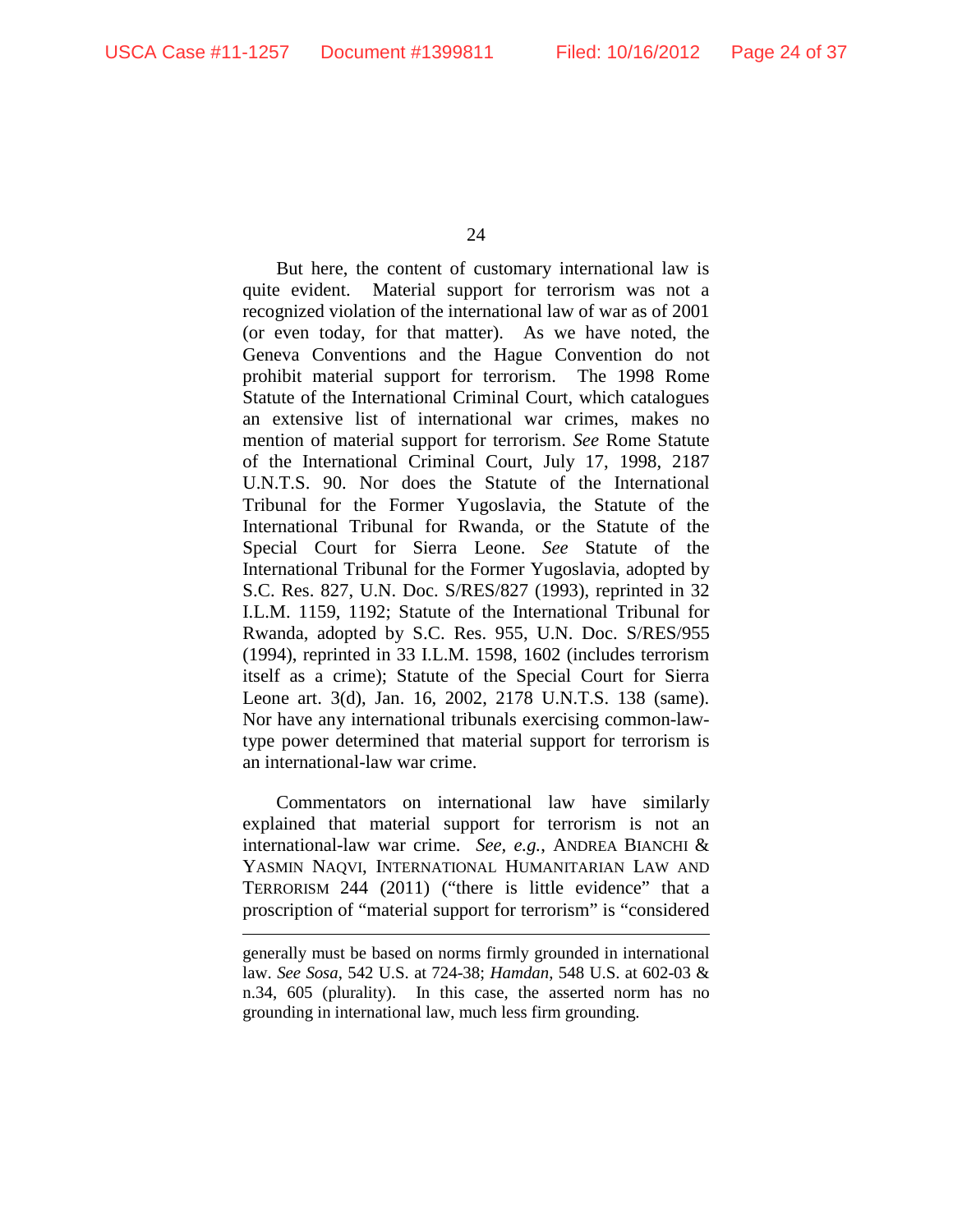24

But here, the content of customary international law is quite evident. Material support for terrorism was not a recognized violation of the international law of war as of 2001 (or even today, for that matter). As we have noted, the Geneva Conventions and the Hague Convention do not prohibit material support for terrorism. The 1998 Rome Statute of the International Criminal Court, which catalogues an extensive list of international war crimes, makes no mention of material support for terrorism. *See* Rome Statute of the International Criminal Court, July 17, 1998, 2187 U.N.T.S. 90. Nor does the Statute of the International Tribunal for the Former Yugoslavia, the Statute of the International Tribunal for Rwanda, or the Statute of the Special Court for Sierra Leone. *See* Statute of the International Tribunal for the Former Yugoslavia, adopted by S.C. Res. 827, U.N. Doc. S/RES/827 (1993), reprinted in 32 I.L.M. 1159, 1192; Statute of the International Tribunal for Rwanda, adopted by S.C. Res. 955, U.N. Doc. S/RES/955 (1994), reprinted in 33 I.L.M. 1598, 1602 (includes terrorism itself as a crime); Statute of the Special Court for Sierra Leone art. 3(d), Jan. 16, 2002, 2178 U.N.T.S. 138 (same). Nor have any international tribunals exercising common-lawtype power determined that material support for terrorism is an international-law war crime.

Commentators on international law have similarly explained that material support for terrorism is not an international-law war crime. *See, e.g.*, ANDREA BIANCHI & YASMIN NAQVI, INTERNATIONAL HUMANITARIAN LAW AND TERRORISM 244 (2011) ("there is little evidence" that a proscription of "material support for terrorism" is "considered

generally must be based on norms firmly grounded in international law. *See Sosa*, 542 U.S. at 724-38; *Hamdan*, 548 U.S. at 602-03 & n.34, 605 (plurality). In this case, the asserted norm has no grounding in international law, much less firm grounding.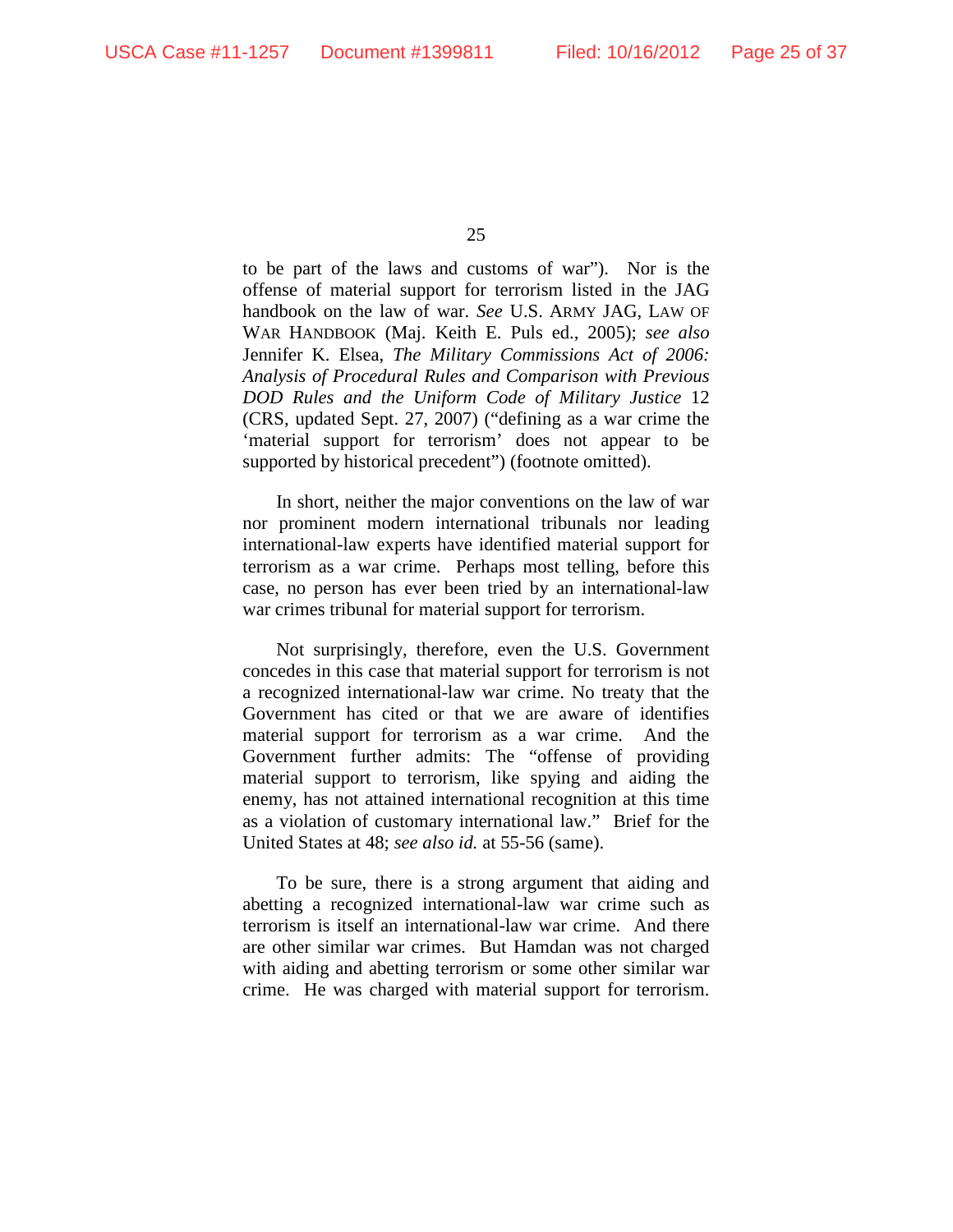to be part of the laws and customs of war"). Nor is the offense of material support for terrorism listed in the JAG handbook on the law of war. *See* U.S. ARMY JAG, LAW OF WAR HANDBOOK (Maj. Keith E. Puls ed., 2005); *see also* Jennifer K. Elsea, *The Military Commissions Act of 2006: Analysis of Procedural Rules and Comparison with Previous DOD Rules and the Uniform Code of Military Justice* 12 (CRS, updated Sept. 27, 2007) ("defining as a war crime the 'material support for terrorism' does not appear to be supported by historical precedent") (footnote omitted).

In short, neither the major conventions on the law of war nor prominent modern international tribunals nor leading international-law experts have identified material support for terrorism as a war crime. Perhaps most telling, before this case, no person has ever been tried by an international-law war crimes tribunal for material support for terrorism.

Not surprisingly, therefore, even the U.S. Government concedes in this case that material support for terrorism is not a recognized international-law war crime. No treaty that the Government has cited or that we are aware of identifies material support for terrorism as a war crime. And the Government further admits: The "offense of providing material support to terrorism, like spying and aiding the enemy, has not attained international recognition at this time as a violation of customary international law." Brief for the United States at 48; *see also id.* at 55-56 (same).

To be sure, there is a strong argument that aiding and abetting a recognized international-law war crime such as terrorism is itself an international-law war crime. And there are other similar war crimes. But Hamdan was not charged with aiding and abetting terrorism or some other similar war crime. He was charged with material support for terrorism.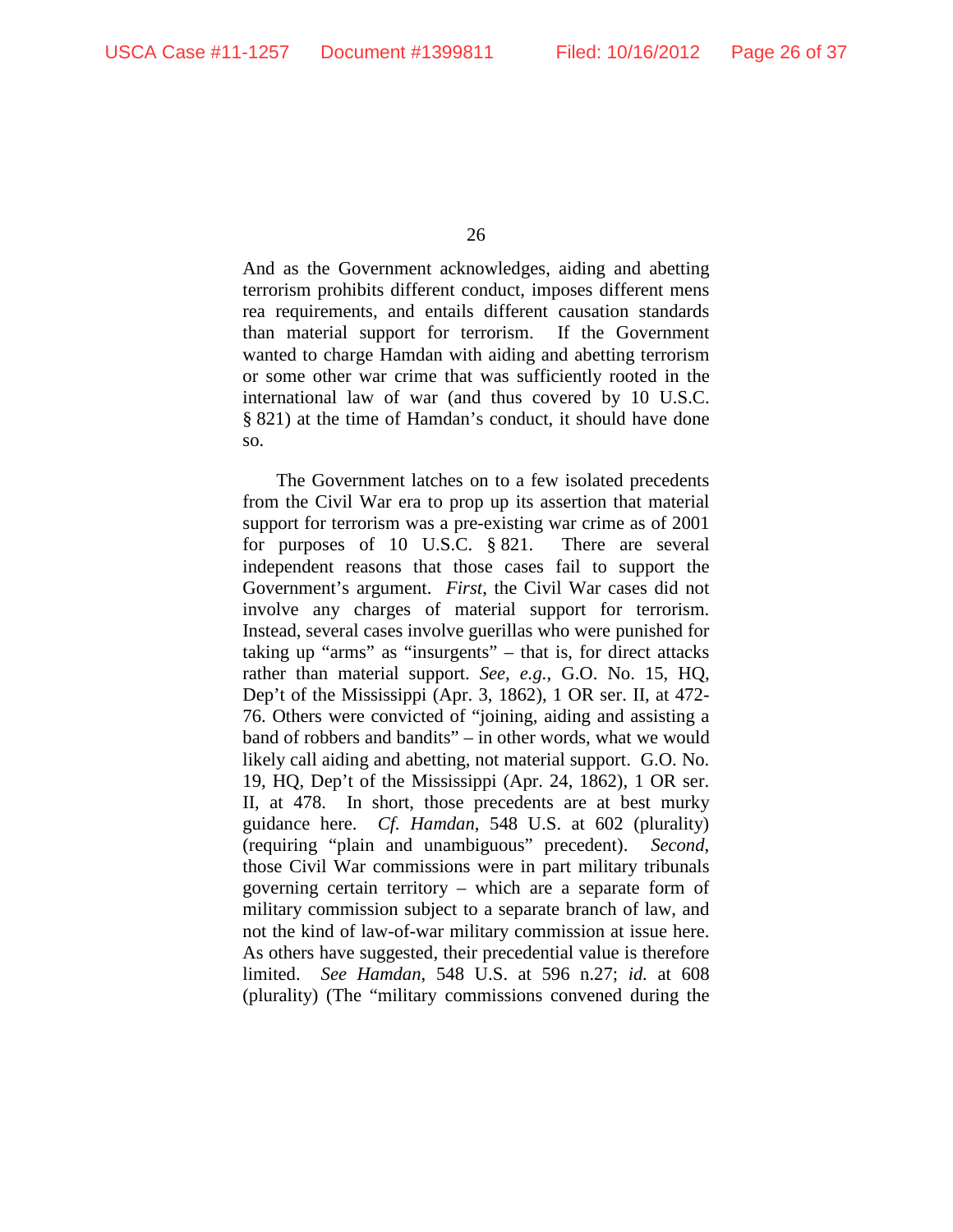And as the Government acknowledges, aiding and abetting terrorism prohibits different conduct, imposes different mens rea requirements, and entails different causation standards than material support for terrorism. If the Government wanted to charge Hamdan with aiding and abetting terrorism or some other war crime that was sufficiently rooted in the international law of war (and thus covered by 10 U.S.C. § 821) at the time of Hamdan's conduct, it should have done so.

The Government latches on to a few isolated precedents from the Civil War era to prop up its assertion that material support for terrorism was a pre-existing war crime as of 2001 for purposes of 10 U.S.C. § 821. There are several independent reasons that those cases fail to support the Government's argument. *First*, the Civil War cases did not involve any charges of material support for terrorism. Instead, several cases involve guerillas who were punished for taking up "arms" as "insurgents" – that is, for direct attacks rather than material support. *See, e.g.*, G.O. No. 15, HQ, Dep't of the Mississippi (Apr. 3, 1862), 1 OR ser. II, at 472- 76. Others were convicted of "joining, aiding and assisting a band of robbers and bandits" – in other words, what we would likely call aiding and abetting, not material support. G.O. No. 19, HQ, Dep't of the Mississippi (Apr. 24, 1862), 1 OR ser. II, at 478. In short, those precedents are at best murky guidance here. *Cf. Hamdan*, 548 U.S. at 602 (plurality) (requiring "plain and unambiguous" precedent). *Second*, those Civil War commissions were in part military tribunals governing certain territory – which are a separate form of military commission subject to a separate branch of law, and not the kind of law-of-war military commission at issue here. As others have suggested, their precedential value is therefore limited. *See Hamdan*, 548 U.S. at 596 n.27; *id.* at 608 (plurality) (The "military commissions convened during the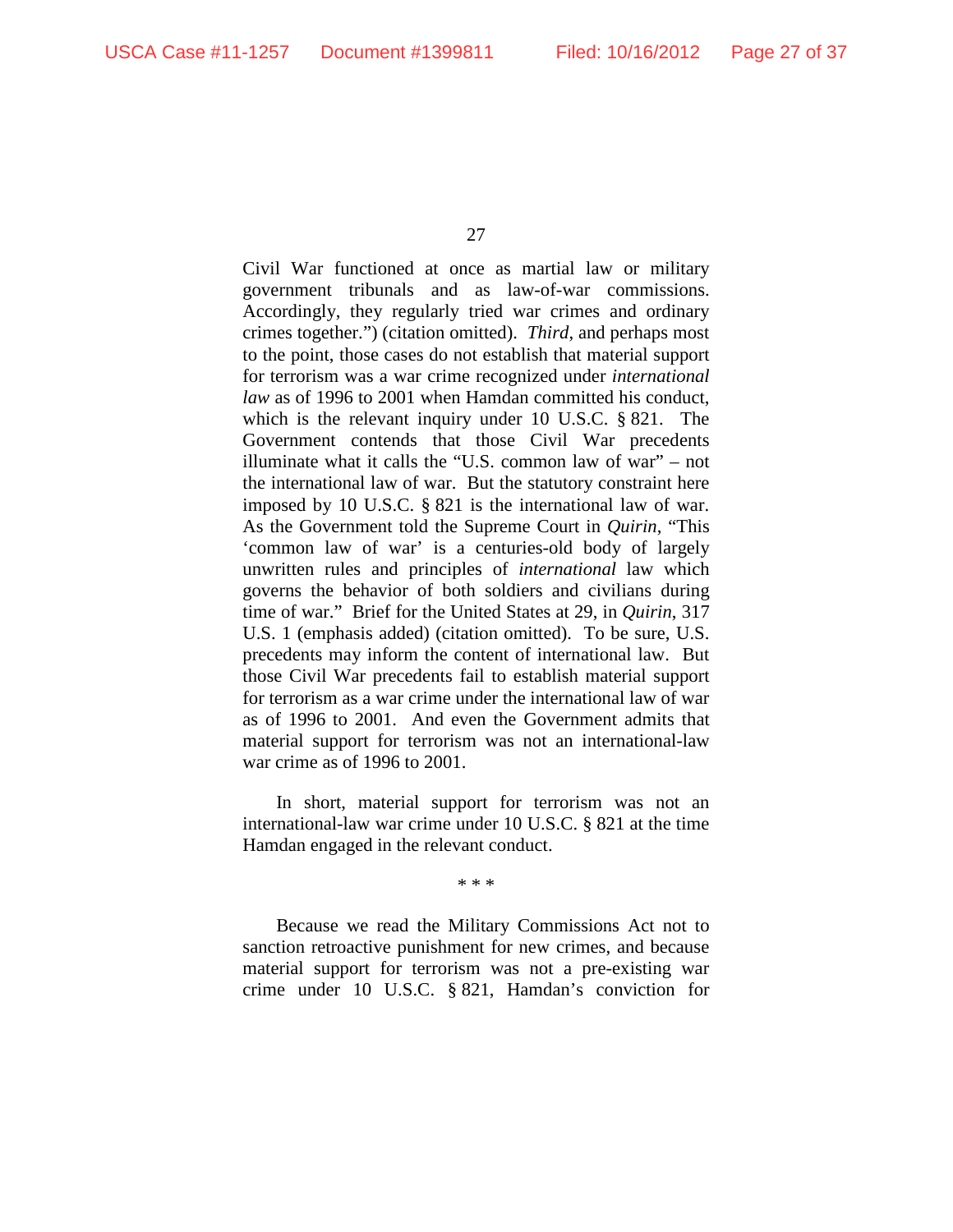Civil War functioned at once as martial law or military government tribunals and as law-of-war commissions. Accordingly, they regularly tried war crimes and ordinary crimes together.") (citation omitted). *Third*, and perhaps most to the point, those cases do not establish that material support for terrorism was a war crime recognized under *international law* as of 1996 to 2001 when Hamdan committed his conduct, which is the relevant inquiry under 10 U.S.C. § 821. The Government contends that those Civil War precedents illuminate what it calls the "U.S. common law of war" – not the international law of war. But the statutory constraint here imposed by 10 U.S.C. § 821 is the international law of war. As the Government told the Supreme Court in *Quirin*, "This 'common law of war' is a centuries-old body of largely unwritten rules and principles of *international* law which governs the behavior of both soldiers and civilians during time of war." Brief for the United States at 29, in *Quirin*, 317 U.S. 1 (emphasis added) (citation omitted). To be sure, U.S. precedents may inform the content of international law. But those Civil War precedents fail to establish material support for terrorism as a war crime under the international law of war as of 1996 to 2001. And even the Government admits that material support for terrorism was not an international-law war crime as of 1996 to 2001.

In short, material support for terrorism was not an international-law war crime under 10 U.S.C. § 821 at the time Hamdan engaged in the relevant conduct.

\* \* \*

Because we read the Military Commissions Act not to sanction retroactive punishment for new crimes, and because material support for terrorism was not a pre-existing war crime under 10 U.S.C. § 821, Hamdan's conviction for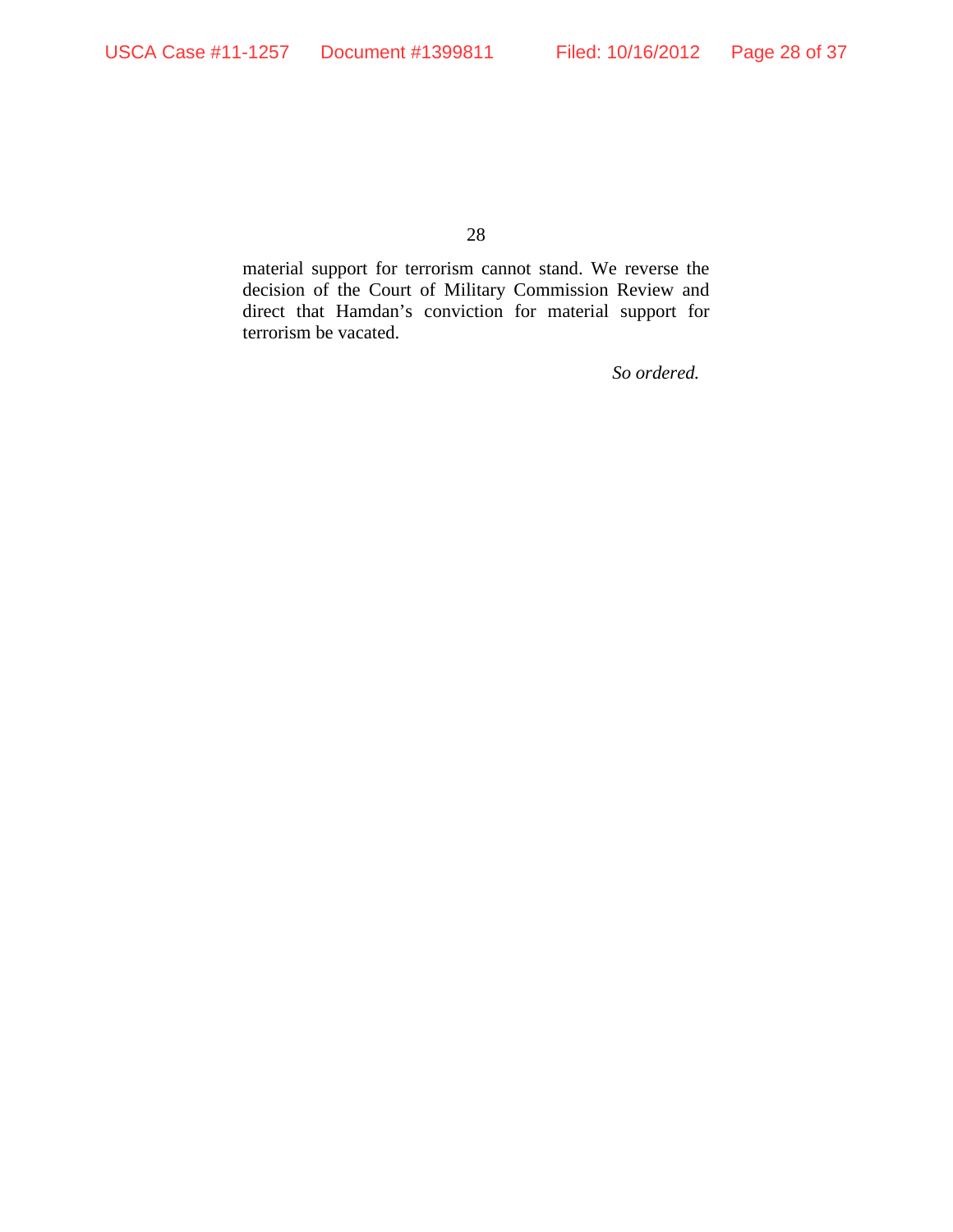material support for terrorism cannot stand. We reverse the decision of the Court of Military Commission Review and direct that Hamdan's conviction for material support for terrorism be vacated.

*So ordered.*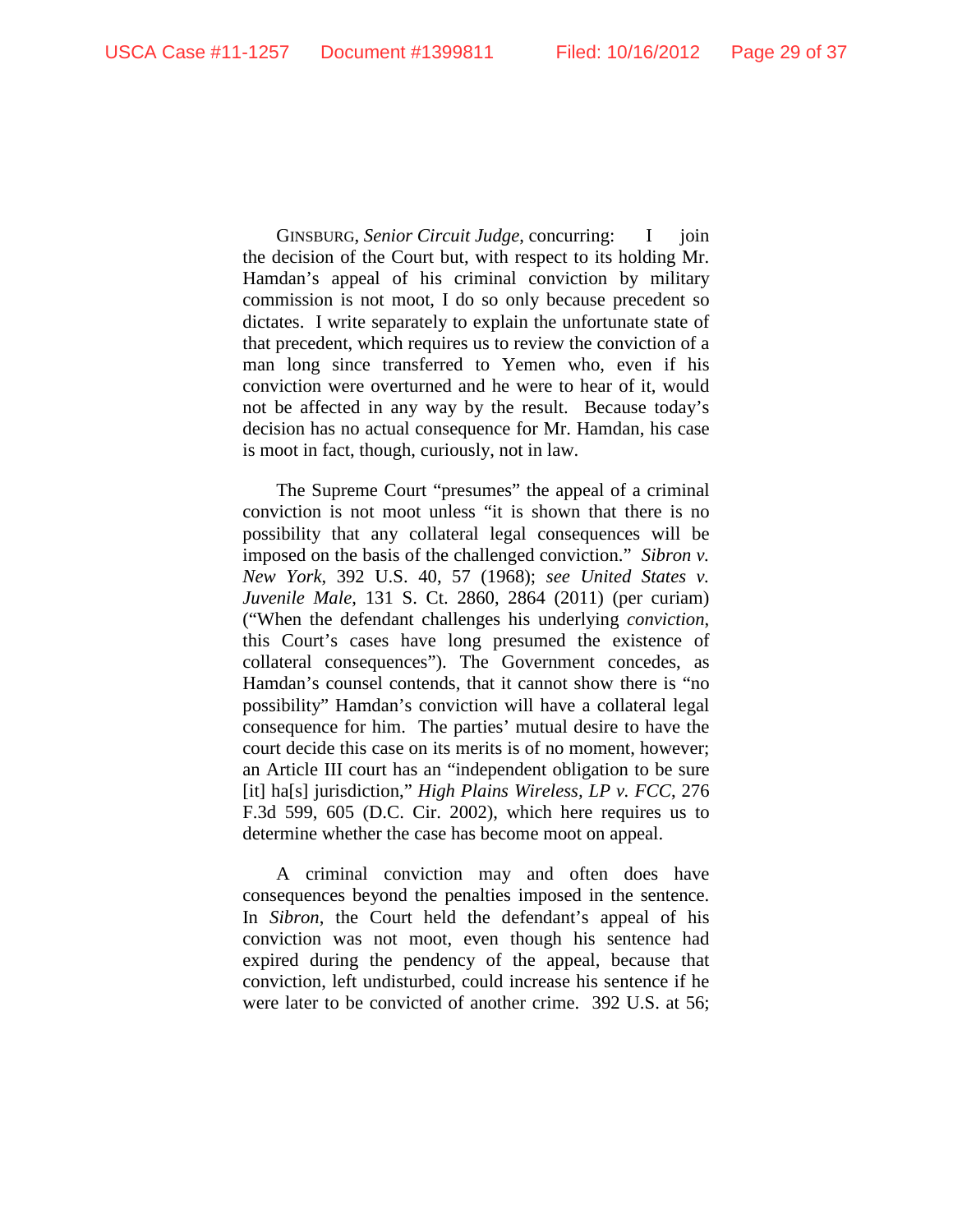GINSBURG, *Senior Circuit Judge*, concurring: I join the decision of the Court but, with respect to its holding Mr. Hamdan's appeal of his criminal conviction by military commission is not moot, I do so only because precedent so dictates. I write separately to explain the unfortunate state of that precedent, which requires us to review the conviction of a man long since transferred to Yemen who, even if his conviction were overturned and he were to hear of it, would not be affected in any way by the result. Because today's decision has no actual consequence for Mr. Hamdan, his case is moot in fact, though, curiously, not in law.

The Supreme Court "presumes" the appeal of a criminal conviction is not moot unless "it is shown that there is no possibility that any collateral legal consequences will be imposed on the basis of the challenged conviction." *Sibron v. New York*, 392 U.S. 40, 57 (1968); *see United States v. Juvenile Male*, 131 S. Ct. 2860, 2864 (2011) (per curiam) ("When the defendant challenges his underlying *conviction*, this Court's cases have long presumed the existence of collateral consequences"). The Government concedes, as Hamdan's counsel contends, that it cannot show there is "no possibility" Hamdan's conviction will have a collateral legal consequence for him. The parties' mutual desire to have the court decide this case on its merits is of no moment, however; an Article III court has an "independent obligation to be sure [it] ha[s] jurisdiction," *High Plains Wireless, LP v. FCC*, 276 F.3d 599, 605 (D.C. Cir. 2002), which here requires us to determine whether the case has become moot on appeal.

A criminal conviction may and often does have consequences beyond the penalties imposed in the sentence. In *Sibron*, the Court held the defendant's appeal of his conviction was not moot, even though his sentence had expired during the pendency of the appeal, because that conviction, left undisturbed, could increase his sentence if he were later to be convicted of another crime. 392 U.S. at 56;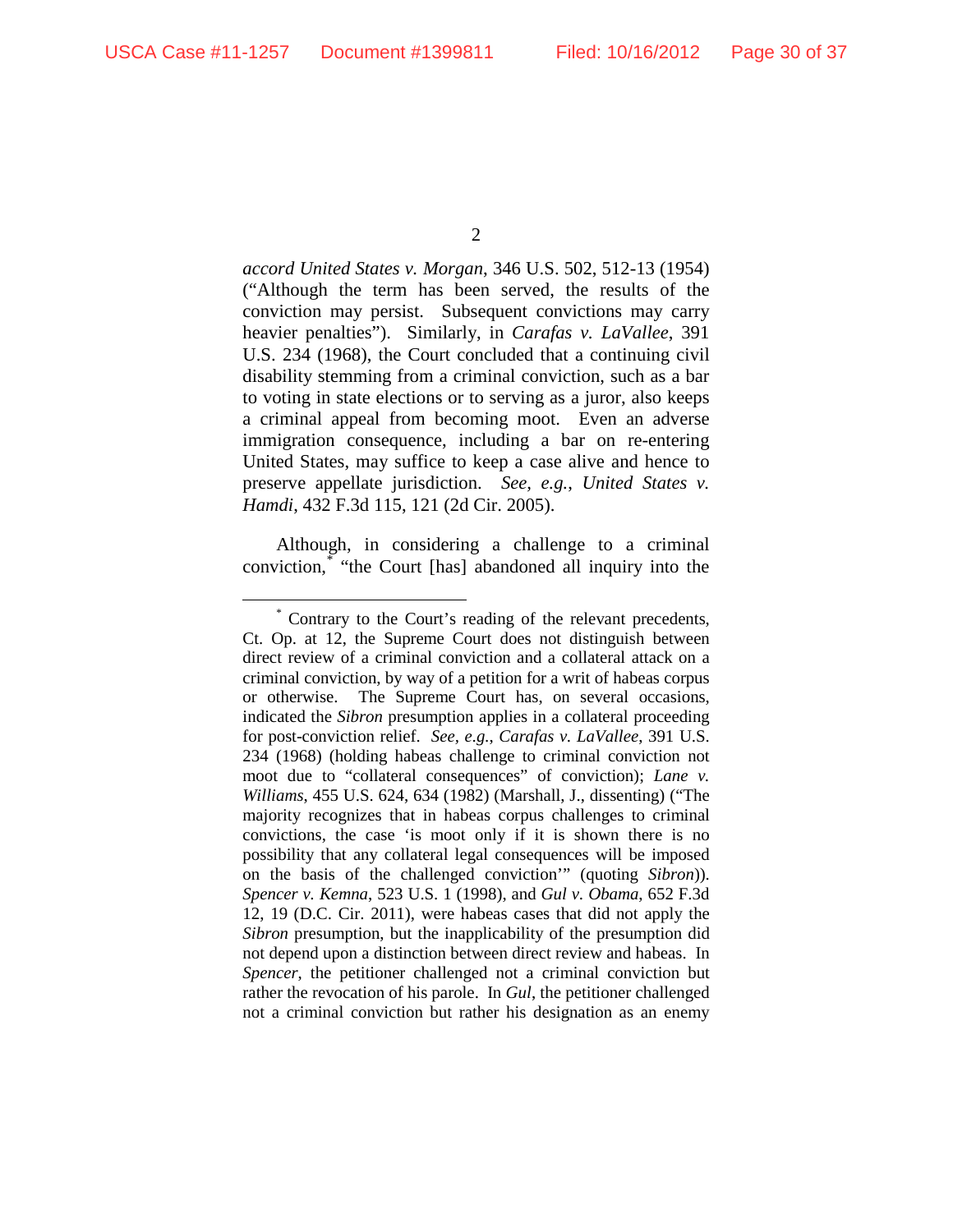*accord United States v. Morgan*, 346 U.S. 502, 512-13 (1954) ("Although the term has been served, the results of the conviction may persist. Subsequent convictions may carry heavier penalties"). Similarly, in *Carafas v. LaVallee*, 391 U.S. 234 (1968), the Court concluded that a continuing civil disability stemming from a criminal conviction, such as a bar to voting in state elections or to serving as a juror, also keeps a criminal appeal from becoming moot. Even an adverse immigration consequence, including a bar on re-entering United States, may suffice to keep a case alive and hence to preserve appellate jurisdiction. *See, e.g.*, *United States v. Hamdi*, 432 F.3d 115, 121 (2d Cir. 2005).

Although, in considering a challenge to a criminal conviction, [\\*](#page-29-0) "the Court [has] abandoned all inquiry into the

 $\mathcal{L}$ 

<span id="page-29-0"></span> <sup>\*</sup> Contrary to the Court's reading of the relevant precedents, Ct. Op. at 12, the Supreme Court does not distinguish between direct review of a criminal conviction and a collateral attack on a criminal conviction, by way of a petition for a writ of habeas corpus or otherwise. The Supreme Court has, on several occasions, indicated the *Sibron* presumption applies in a collateral proceeding for post-conviction relief. *See, e.g.*, *Carafas v. LaVallee*, 391 U.S. 234 (1968) (holding habeas challenge to criminal conviction not moot due to "collateral consequences" of conviction); *Lane v. Williams*, 455 U.S. 624, 634 (1982) (Marshall, J., dissenting) ("The majority recognizes that in habeas corpus challenges to criminal convictions, the case 'is moot only if it is shown there is no possibility that any collateral legal consequences will be imposed on the basis of the challenged conviction'" (quoting *Sibron*)). *Spencer v. Kemna*, 523 U.S. 1 (1998), and *Gul v. Obama*, 652 F.3d 12, 19 (D.C. Cir. 2011), were habeas cases that did not apply the *Sibron* presumption, but the inapplicability of the presumption did not depend upon a distinction between direct review and habeas. In *Spencer*, the petitioner challenged not a criminal conviction but rather the revocation of his parole. In *Gul*, the petitioner challenged not a criminal conviction but rather his designation as an enemy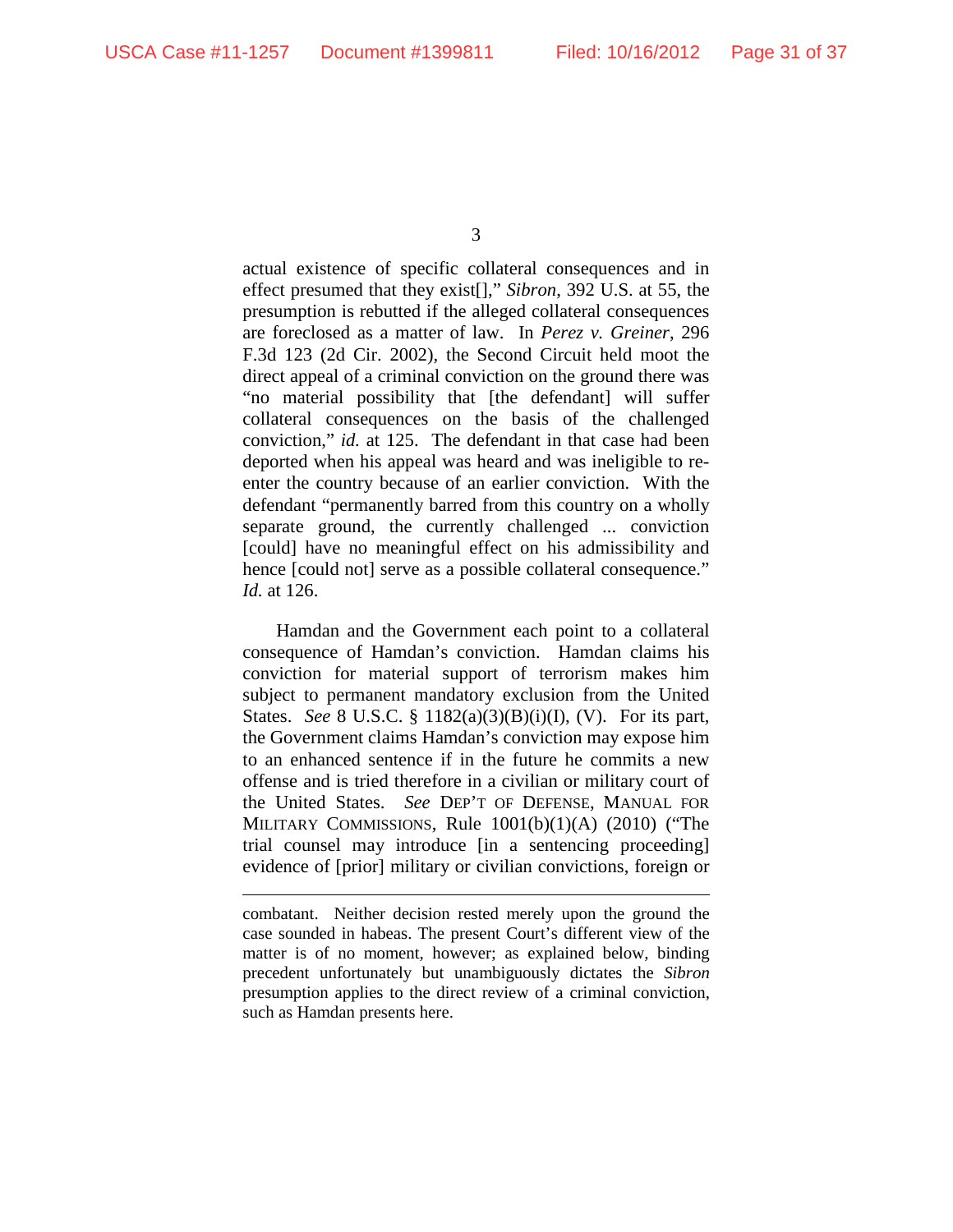3

actual existence of specific collateral consequences and in effect presumed that they exist[]," *Sibron*, 392 U.S. at 55, the presumption is rebutted if the alleged collateral consequences are foreclosed as a matter of law. In *Perez v. Greiner*, 296 F.3d 123 (2d Cir. 2002), the Second Circuit held moot the direct appeal of a criminal conviction on the ground there was "no material possibility that [the defendant] will suffer collateral consequences on the basis of the challenged conviction," *id.* at 125. The defendant in that case had been deported when his appeal was heard and was ineligible to reenter the country because of an earlier conviction. With the defendant "permanently barred from this country on a wholly separate ground, the currently challenged ... conviction [could] have no meaningful effect on his admissibility and hence [could not] serve as a possible collateral consequence." *Id.* at 126.

Hamdan and the Government each point to a collateral consequence of Hamdan's conviction. Hamdan claims his conviction for material support of terrorism makes him subject to permanent mandatory exclusion from the United States. *See* 8 U.S.C. § 1182(a)(3)(B)(i)(I), (V). For its part, the Government claims Hamdan's conviction may expose him to an enhanced sentence if in the future he commits a new offense and is tried therefore in a civilian or military court of the United States. *See* DEP'T OF DEFENSE, MANUAL FOR MILITARY COMMISSIONS, Rule  $1001(b)(1)(A)$  (2010) ("The trial counsel may introduce [in a sentencing proceeding] evidence of [prior] military or civilian convictions, foreign or

combatant. Neither decision rested merely upon the ground the case sounded in habeas. The present Court's different view of the matter is of no moment, however; as explained below, binding precedent unfortunately but unambiguously dictates the *Sibron* presumption applies to the direct review of a criminal conviction, such as Hamdan presents here.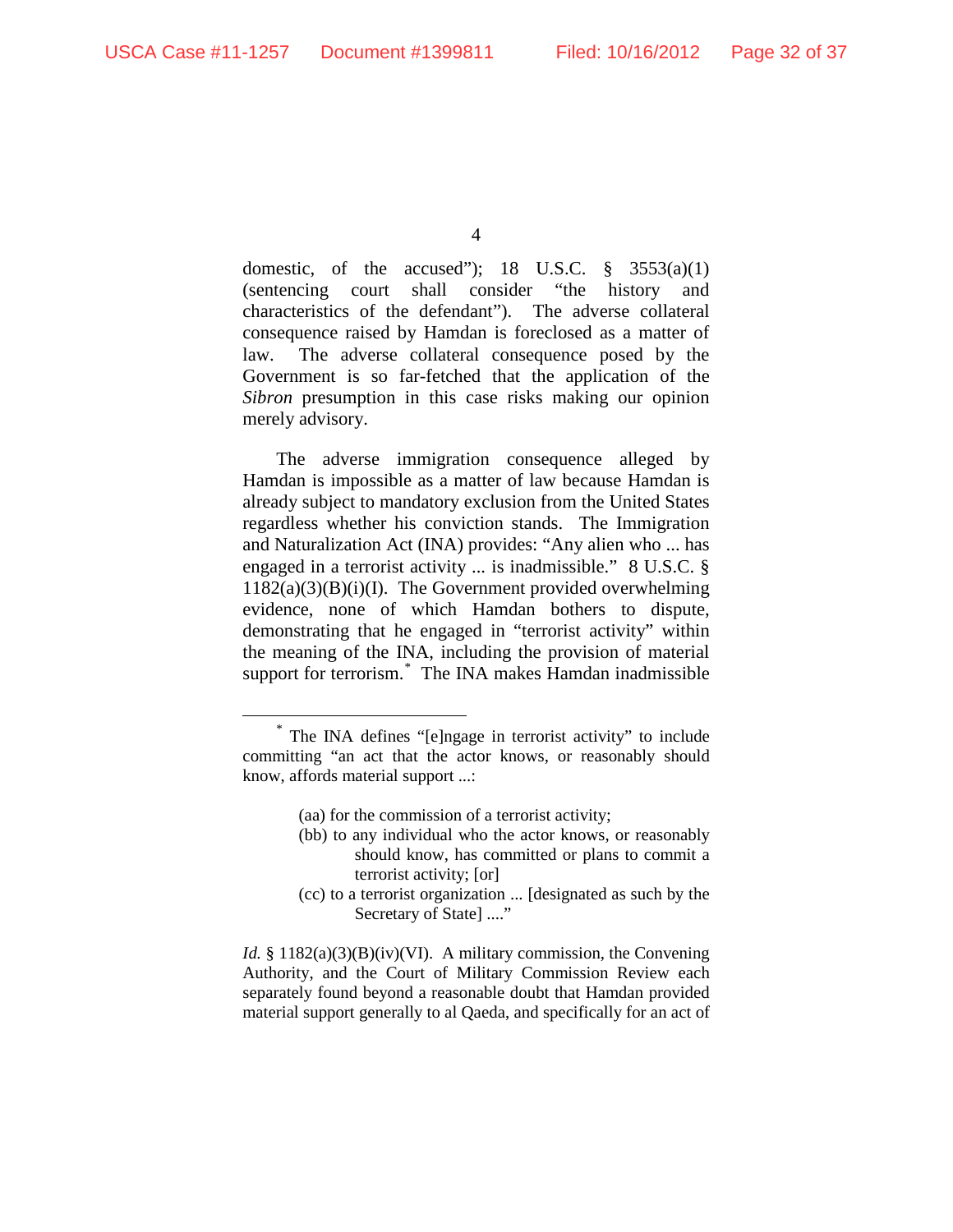domestic, of the accused"); 18 U.S.C.  $\frac{8}{5}$  3553(a)(1) (sentencing court shall consider "the history and characteristics of the defendant"). The adverse collateral consequence raised by Hamdan is foreclosed as a matter of law. The adverse collateral consequence posed by the Government is so far-fetched that the application of the *Sibron* presumption in this case risks making our opinion merely advisory.

The adverse immigration consequence alleged by Hamdan is impossible as a matter of law because Hamdan is already subject to mandatory exclusion from the United States regardless whether his conviction stands. The Immigration and Naturalization Act (INA) provides: "Any alien who ... has engaged in a terrorist activity ... is inadmissible." 8 U.S.C. §  $1182(a)(3)(B)(i)(I)$ . The Government provided overwhelming evidence, none of which Hamdan bothers to dispute, demonstrating that he engaged in "terrorist activity" within the meaning of the INA, including the provision of material support for terrorism.<sup>[\\*](#page-31-0)</sup> The INA makes Hamdan inadmissible

- (aa) for the commission of a terrorist activity;
- (bb) to any individual who the actor knows, or reasonably should know, has committed or plans to commit a terrorist activity; [or]
- (cc) to a terrorist organization ... [designated as such by the Secretary of State] ...."

*Id.* § 1182(a)(3)(B)(iv)(VI). A military commission, the Convening Authority, and the Court of Military Commission Review each separately found beyond a reasonable doubt that Hamdan provided material support generally to al Qaeda, and specifically for an act of

<span id="page-31-0"></span>The INA defines "[e]ngage in terrorist activity" to include committing "an act that the actor knows, or reasonably should know, affords material support ...: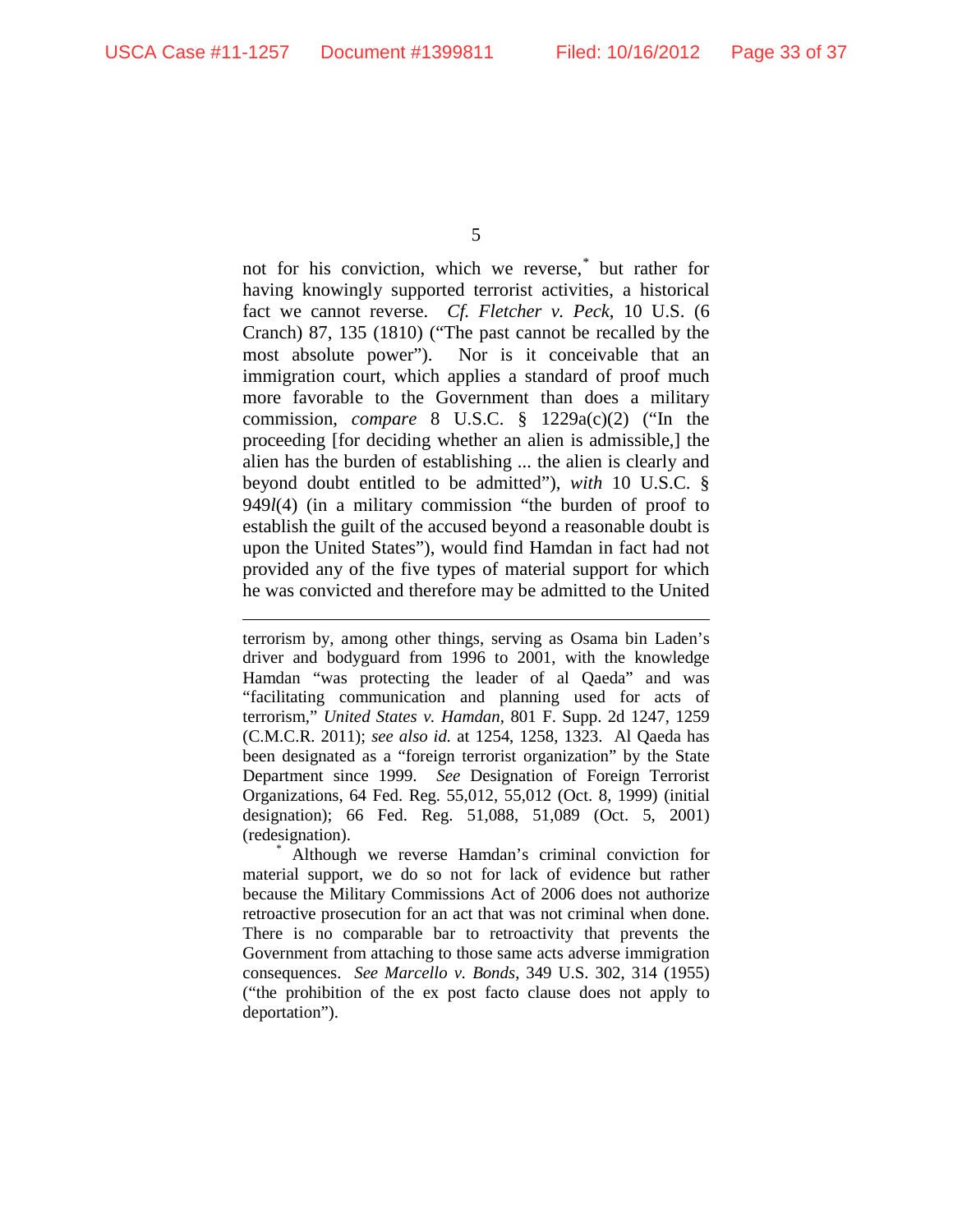5

not for his conviction, which we reverse,[\\*](#page-32-0) but rather for having knowingly supported terrorist activities, a historical fact we cannot reverse. *Cf. Fletcher v. Peck*, 10 U.S. (6 Cranch) 87, 135 (1810) ("The past cannot be recalled by the most absolute power"). Nor is it conceivable that an immigration court, which applies a standard of proof much more favorable to the Government than does a military commission, *compare* 8 U.S.C. § 1229a(c)(2) ("In the proceeding [for deciding whether an alien is admissible,] the alien has the burden of establishing ... the alien is clearly and beyond doubt entitled to be admitted"), *with* 10 U.S.C. § 949*l*(4) (in a military commission "the burden of proof to establish the guilt of the accused beyond a reasonable doubt is upon the United States"), would find Hamdan in fact had not provided any of the five types of material support for which he was convicted and therefore may be admitted to the United

terrorism by, among other things, serving as Osama bin Laden's driver and bodyguard from 1996 to 2001, with the knowledge Hamdan "was protecting the leader of al Qaeda" and was "facilitating communication and planning used for acts of terrorism," *United States v. Hamdan*, 801 F. Supp. 2d 1247, 1259 (C.M.C.R. 2011); *see also id.* at 1254, 1258, 1323. Al Qaeda has been designated as a "foreign terrorist organization" by the State Department since 1999. *See* Designation of Foreign Terrorist Organizations, 64 Fed. Reg. 55,012, 55,012 (Oct. 8, 1999) (initial designation); 66 Fed. Reg. 51,088, 51,089 (Oct. 5, 2001)

<span id="page-32-0"></span>(redesignation). \* Although we reverse Hamdan's criminal conviction for material support, we do so not for lack of evidence but rather because the Military Commissions Act of 2006 does not authorize retroactive prosecution for an act that was not criminal when done. There is no comparable bar to retroactivity that prevents the Government from attaching to those same acts adverse immigration consequences. *See Marcello v. Bonds*, 349 U.S. 302, 314 (1955) ("the prohibition of the ex post facto clause does not apply to deportation").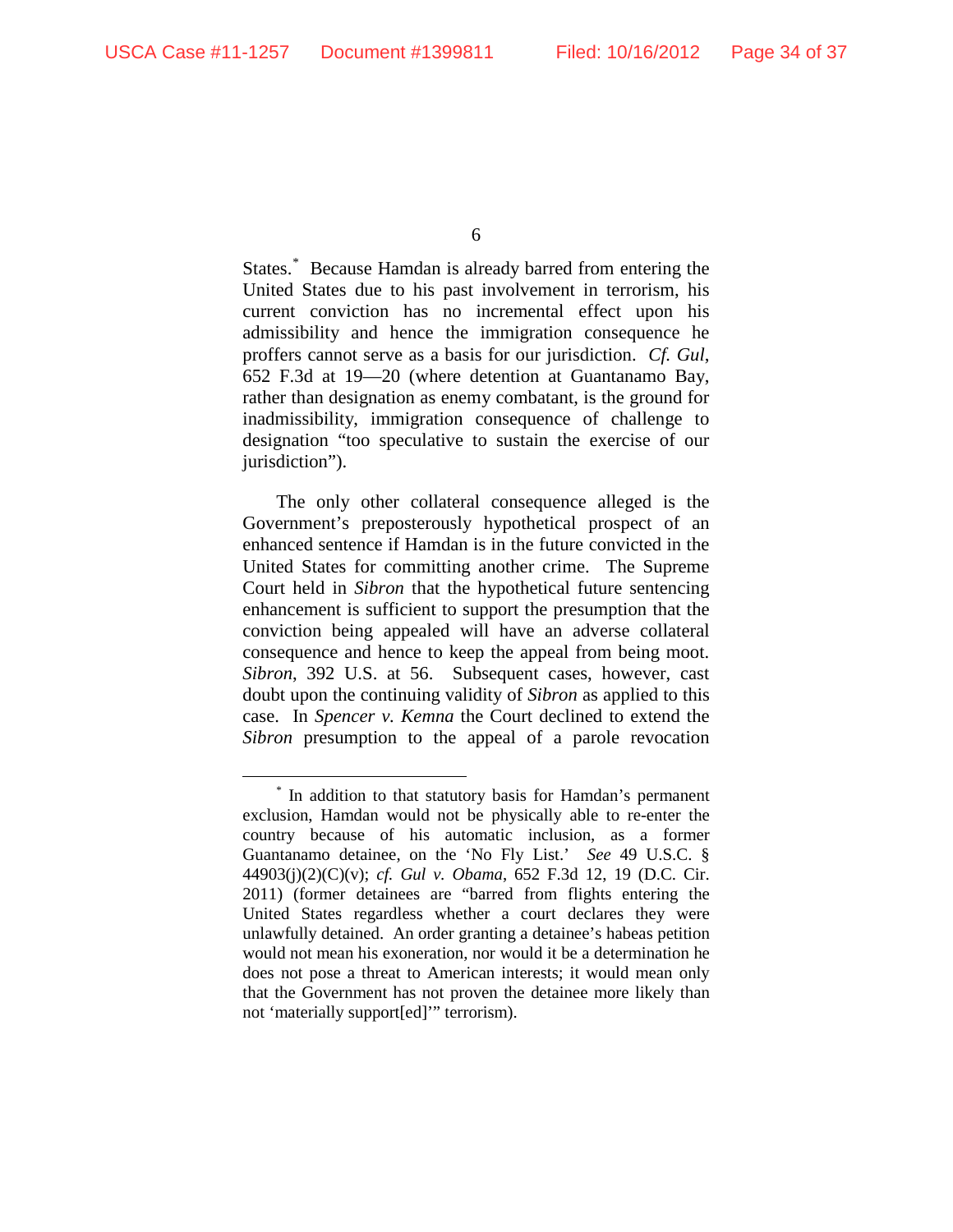States.[\\*](#page-33-0) Because Hamdan is already barred from entering the United States due to his past involvement in terrorism, his current conviction has no incremental effect upon his admissibility and hence the immigration consequence he proffers cannot serve as a basis for our jurisdiction. *Cf. Gul*, 652 F.3d at 19—20 (where detention at Guantanamo Bay, rather than designation as enemy combatant, is the ground for inadmissibility, immigration consequence of challenge to designation "too speculative to sustain the exercise of our jurisdiction").

The only other collateral consequence alleged is the Government's preposterously hypothetical prospect of an enhanced sentence if Hamdan is in the future convicted in the United States for committing another crime. The Supreme Court held in *Sibron* that the hypothetical future sentencing enhancement is sufficient to support the presumption that the conviction being appealed will have an adverse collateral consequence and hence to keep the appeal from being moot. *Sibron*, 392 U.S. at 56. Subsequent cases, however, cast doubt upon the continuing validity of *Sibron* as applied to this case. In *Spencer v. Kemna* the Court declined to extend the *Sibron* presumption to the appeal of a parole revocation

<sup>6</sup>

<span id="page-33-0"></span>In addition to that statutory basis for Hamdan's permanent exclusion, Hamdan would not be physically able to re-enter the country because of his automatic inclusion, as a former Guantanamo detainee, on the 'No Fly List.' *See* 49 U.S.C. § 44903(j)(2)(C)(v); *cf. Gul v. Obama*, 652 F.3d 12, 19 (D.C. Cir. 2011) (former detainees are "barred from flights entering the United States regardless whether a court declares they were unlawfully detained. An order granting a detainee's habeas petition would not mean his exoneration, nor would it be a determination he does not pose a threat to American interests; it would mean only that the Government has not proven the detainee more likely than not 'materially support[ed]'" terrorism).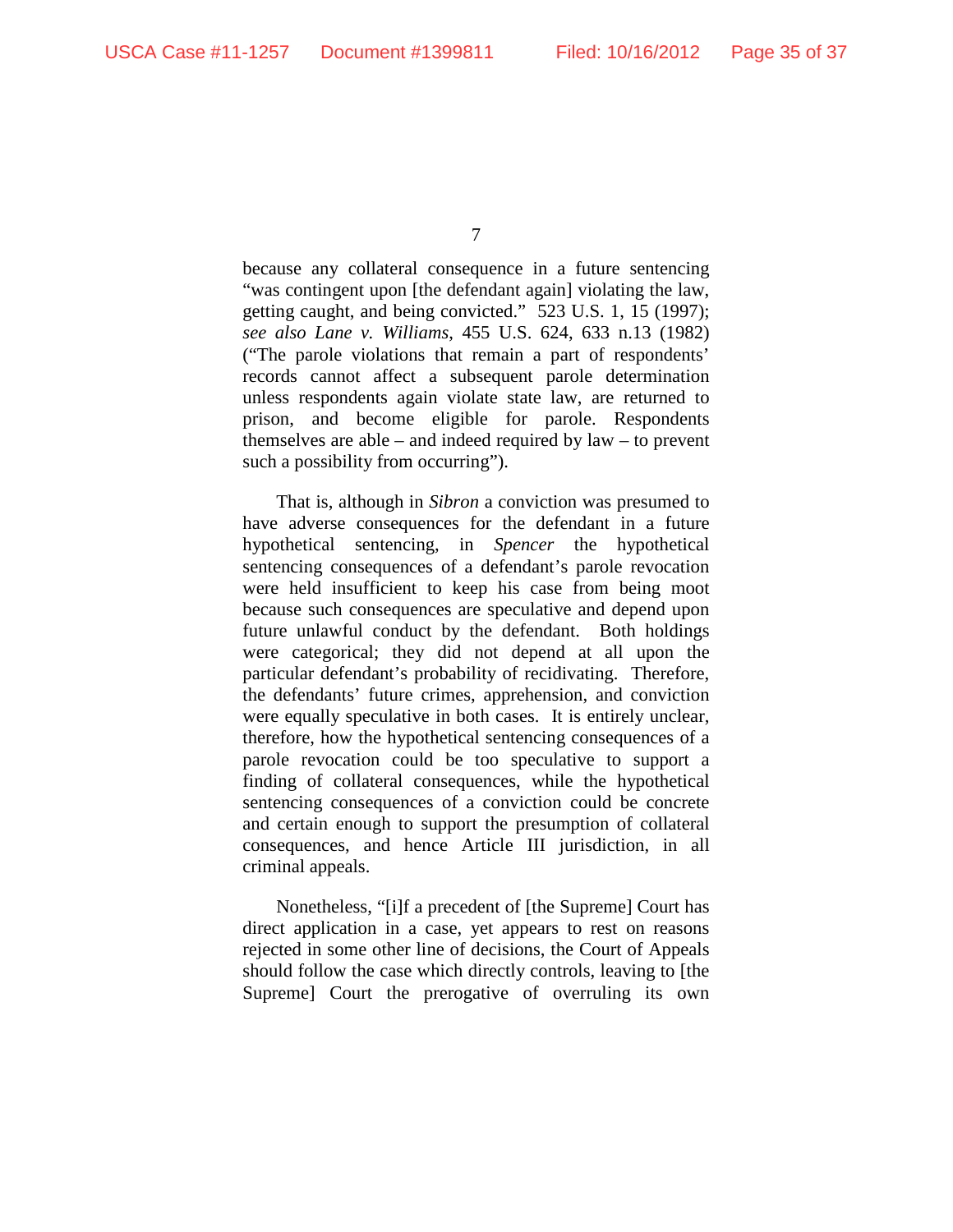because any collateral consequence in a future sentencing "was contingent upon [the defendant again] violating the law, getting caught, and being convicted." 523 U.S. 1, 15 (1997); *see also Lane v. Williams*, 455 U.S. 624, 633 n.13 (1982) ("The parole violations that remain a part of respondents' records cannot affect a subsequent parole determination unless respondents again violate state law, are returned to prison, and become eligible for parole. Respondents themselves are able – and indeed required by law – to prevent such a possibility from occurring").

That is, although in *Sibron* a conviction was presumed to have adverse consequences for the defendant in a future hypothetical sentencing, in *Spencer* the hypothetical sentencing consequences of a defendant's parole revocation were held insufficient to keep his case from being moot because such consequences are speculative and depend upon future unlawful conduct by the defendant. Both holdings were categorical; they did not depend at all upon the particular defendant's probability of recidivating. Therefore, the defendants' future crimes, apprehension, and conviction were equally speculative in both cases. It is entirely unclear, therefore, how the hypothetical sentencing consequences of a parole revocation could be too speculative to support a finding of collateral consequences, while the hypothetical sentencing consequences of a conviction could be concrete and certain enough to support the presumption of collateral consequences, and hence Article III jurisdiction, in all criminal appeals.

Nonetheless, "[i]f a precedent of [the Supreme] Court has direct application in a case, yet appears to rest on reasons rejected in some other line of decisions, the Court of Appeals should follow the case which directly controls, leaving to [the Supreme] Court the prerogative of overruling its own

<sup>7</sup>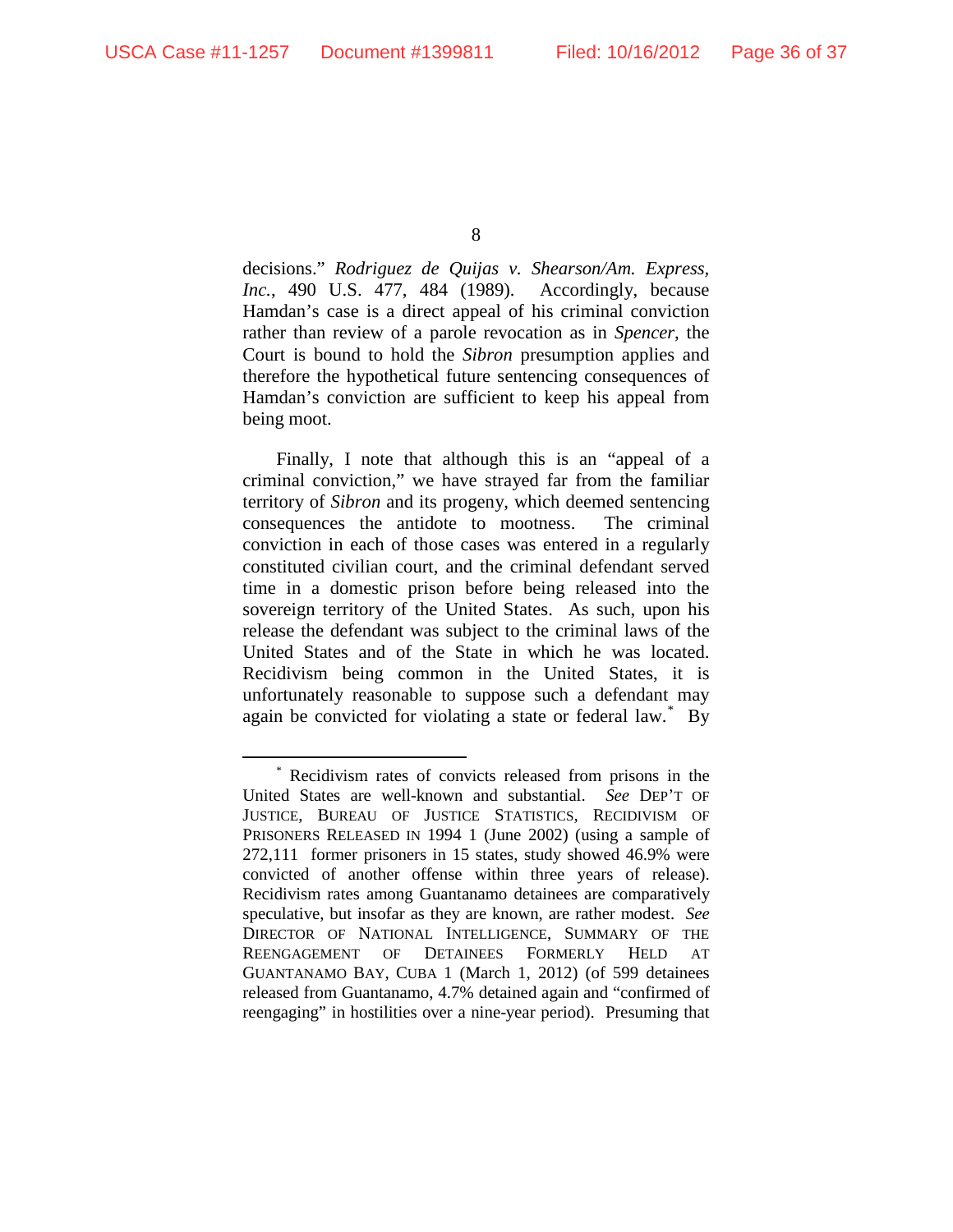decisions." *Rodriguez de Quijas v. Shearson/Am. Express, Inc.*, 490 U.S. 477, 484 (1989). Accordingly, because Hamdan's case is a direct appeal of his criminal conviction rather than review of a parole revocation as in *Spencer*, the Court is bound to hold the *Sibron* presumption applies and therefore the hypothetical future sentencing consequences of Hamdan's conviction are sufficient to keep his appeal from being moot.

Finally, I note that although this is an "appeal of a criminal conviction," we have strayed far from the familiar territory of *Sibron* and its progeny, which deemed sentencing consequences the antidote to mootness. The criminal conviction in each of those cases was entered in a regularly constituted civilian court, and the criminal defendant served time in a domestic prison before being released into the sovereign territory of the United States. As such, upon his release the defendant was subject to the criminal laws of the United States and of the State in which he was located. Recidivism being common in the United States, it is unfortunately reasonable to suppose such a defendant may again be convicted for violating a state or federal law.<sup>[\\*](#page-35-0)</sup> By

<span id="page-35-0"></span>Recidivism rates of convicts released from prisons in the United States are well-known and substantial. *See* DEP'T OF JUSTICE, BUREAU OF JUSTICE STATISTICS, RECIDIVISM OF PRISONERS RELEASED IN 1994 1 (June 2002) (using a sample of 272,111 former prisoners in 15 states, study showed 46.9% were convicted of another offense within three years of release). Recidivism rates among Guantanamo detainees are comparatively speculative, but insofar as they are known, are rather modest. *See* DIRECTOR OF NATIONAL INTELLIGENCE, SUMMARY OF THE REENGAGEMENT OF DETAINEES FORMERLY HELD AT GUANTANAMO BAY, CUBA 1 (March 1, 2012) (of 599 detainees released from Guantanamo, 4.7% detained again and "confirmed of reengaging" in hostilities over a nine-year period). Presuming that